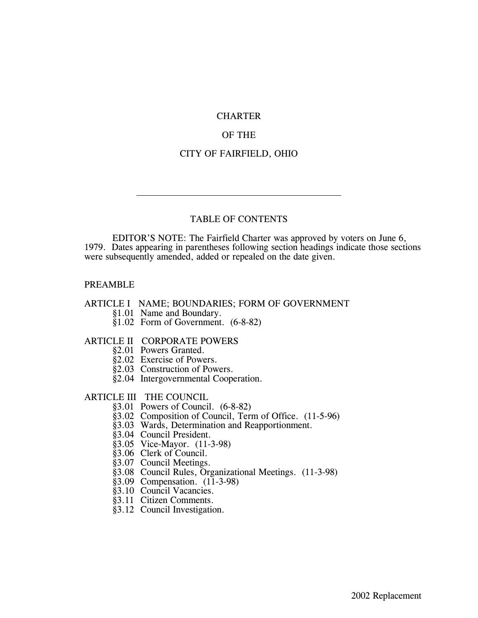### **CHARTER**

## OF THE

## CITY OF FAIRFIELD, OHIO

## TABLE OF CONTENTS

EDITOR'S NOTE: The Fairfield Charter was approved by voters on June 6, 1979. Dates appearing in parentheses following section headings indicate those sections were subsequently amended, added or repealed on the date given.

#### PREAMBLE

 $\overline{a}$ 

#### ARTICLE I NAME; BOUNDARIES; FORM OF GOVERNMENT

- §1.01 Name and Boundary.
- $§1.02$  Form of Government.  $(6-8-82)$

#### ARTICLE II CORPORATE POWERS

- §2.01 Powers Granted.
- §2.02 Exercise of Powers.
- §2.03 Construction of Powers.
- §2.04 Intergovernmental Cooperation.

ARTICLE III THE COUNCIL

- §3.01 Powers of Council. (6-8-82)
- §3.02 Composition of Council, Term of Office. (11-5-96)
- §3.03 Wards, Determination and Reapportionment.
- §3.04 Council President.
- §3.05 Vice-Mayor. (11-3-98)
- §3.06 Clerk of Council.
- §3.07 Council Meetings.
- §3.08 Council Rules, Organizational Meetings. (11-3-98)
- §3.09 Compensation. (11-3-98)
- §3.10 Council Vacancies.
- §3.11 Citizen Comments.
- §3.12 Council Investigation.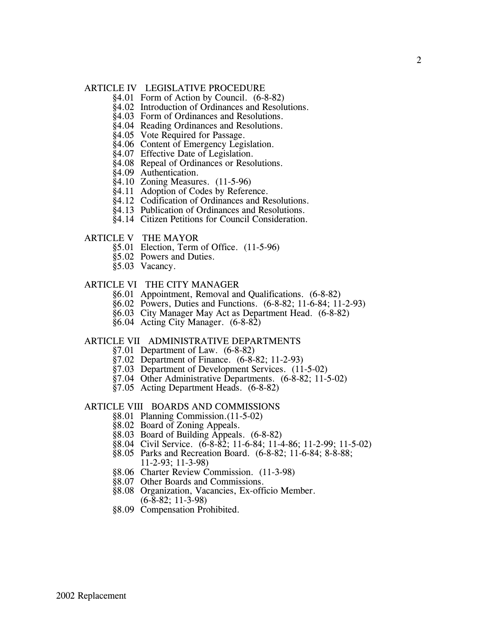#### ARTICLE IV LEGISLATIVE PROCEDURE

- §4.01 Form of Action by Council. (6-8-82)
- §4.02 Introduction of Ordinances and Resolutions.
- §4.03 Form of Ordinances and Resolutions.
- §4.04 Reading Ordinances and Resolutions.
- §4.05 Vote Required for Passage.
- §4.06 Content of Emergency Legislation.
- §4.07 Effective Date of Legislation.
- §4.08 Repeal of Ordinances or Resolutions.
- §4.09 Authentication.
- §4.10 Zoning Measures. (11-5-96)
- §4.11 Adoption of Codes by Reference.
- §4.12 Codification of Ordinances and Resolutions.
- §4.13 Publication of Ordinances and Resolutions.
- §4.14 Citizen Petitions for Council Consideration.

#### ARTICLE V THE MAYOR

- §5.01 Election, Term of Office. (11-5-96)
- §5.02 Powers and Duties.
- §5.03 Vacancy.

#### ARTICLE VI THE CITY MANAGER

- §6.01 Appointment, Removal and Qualifications. (6-8-82)
- §6.02 Powers, Duties and Functions. (6-8-82; 11-6-84; 11-2-93)
- §6.03 City Manager May Act as Department Head. (6-8-82)
- §6.04 Acting City Manager. (6-8-82)

#### ARTICLE VII ADMINISTRATIVE DEPARTMENTS

- §7.01 Department of Law. (6-8-82)
- §7.02 Department of Finance. (6-8-82; 11-2-93)
- §7.03 Department of Development Services. (11-5-02)
- §7.04 Other Administrative Departments. (6-8-82; 11-5-02)
- §7.05 Acting Department Heads. (6-8-82)

#### ARTICLE VIII BOARDS AND COMMISSIONS

- §8.01 Planning Commission.(11-5-02)
- §8.02 Board of Zoning Appeals.
- §8.03 Board of Building Appeals. (6-8-82)
- §8.04 Civil Service. (6-8-82; 11-6-84; 11-4-86; 11-2-99; 11-5-02)
- §8.05 Parks and Recreation Board. (6-8-82; 11-6-84; 8-8-88; 11-2-93; 11-3-98)
- §8.06 Charter Review Commission. (11-3-98)
- §8.07 Other Boards and Commissions.
- §8.08 Organization, Vacancies, Ex-officio Member. (6-8-82; 11-3-98)
- §8.09 Compensation Prohibited.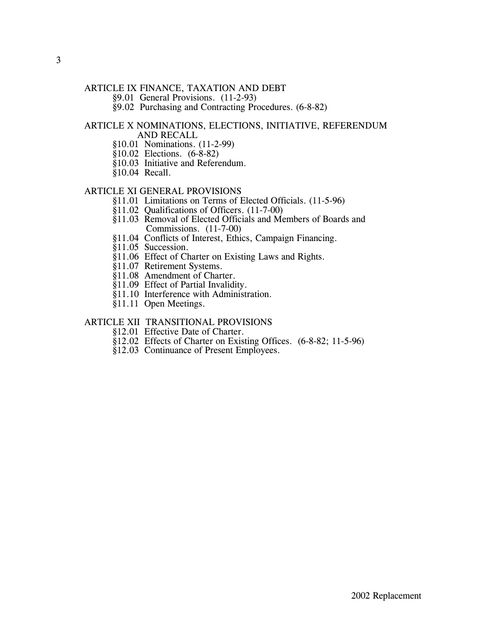- §9.01 General Provisions. (11-2-93)
- §9.02 Purchasing and Contracting Procedures. (6-8-82)

#### ARTICLE X NOMINATIONS, ELECTIONS, INITIATIVE, REFERENDUM AND RECALL

- §10.01 Nominations. (11-2-99)
- §10.02 Elections. (6-8-82)
- §10.03 Initiative and Referendum.
- §10.04 Recall.

## ARTICLE XI GENERAL PROVISIONS

- §11.01 Limitations on Terms of Elected Officials. (11-5-96)
- §11.02 Qualifications of Officers. (11-7-00)
- §11.03 Removal of Elected Officials and Members of Boards and Commissions. (11-7-00)
- §11.04 Conflicts of Interest, Ethics, Campaign Financing.
- §11.05 Succession.
- §11.06 Effect of Charter on Existing Laws and Rights.
- §11.07 Retirement Systems.
- §11.08 Amendment of Charter.
- §11.09 Effect of Partial Invalidity.
- §11.10 Interference with Administration.
- §11.11 Open Meetings.

## ARTICLE XII TRANSITIONAL PROVISIONS

- §12.01 Effective Date of Charter.
- §12.02 Effects of Charter on Existing Offices. (6-8-82; 11-5-96)
- §12.03 Continuance of Present Employees.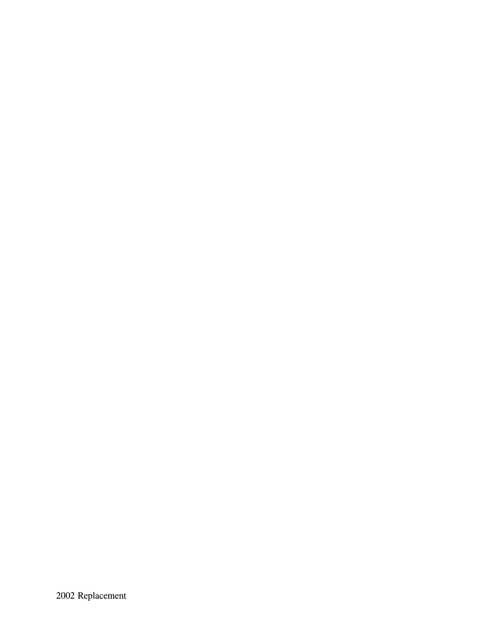2002 Replacement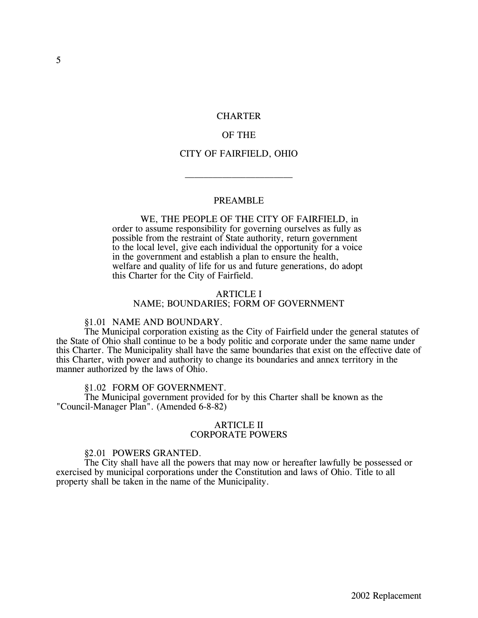#### **CHARTER**

## OF THE

### CITY OF FAIRFIELD, OHIO

#### PREAMBLE

WE, THE PEOPLE OF THE CITY OF FAIRFIELD, in order to assume responsibility for governing ourselves as fully as possible from the restraint of State authority, return government to the local level, give each individual the opportunity for a voice in the government and establish a plan to ensure the health, welfare and quality of life for us and future generations, do adopt this Charter for the City of Fairfield.

#### ARTICLE I NAME; BOUNDARIES; FORM OF GOVERNMENT

#### §1.01 NAME AND BOUNDARY.

The Municipal corporation existing as the City of Fairfield under the general statutes of the State of Ohio shall continue to be a body politic and corporate under the same name under this Charter. The Municipality shall have the same boundaries that exist on the effective date of this Charter, with power and authority to change its boundaries and annex territory in the manner authorized by the laws of Ohio.

## §1.02 FORM OF GOVERNMENT.

The Municipal government provided for by this Charter shall be known as the "Council-Manager Plan". (Amended 6-8-82)

#### ARTICLE II CORPORATE POWERS

#### §2.01 POWERS GRANTED.

The City shall have all the powers that may now or hereafter lawfully be possessed or exercised by municipal corporations under the Constitution and laws of Ohio. Title to all property shall be taken in the name of the Municipality.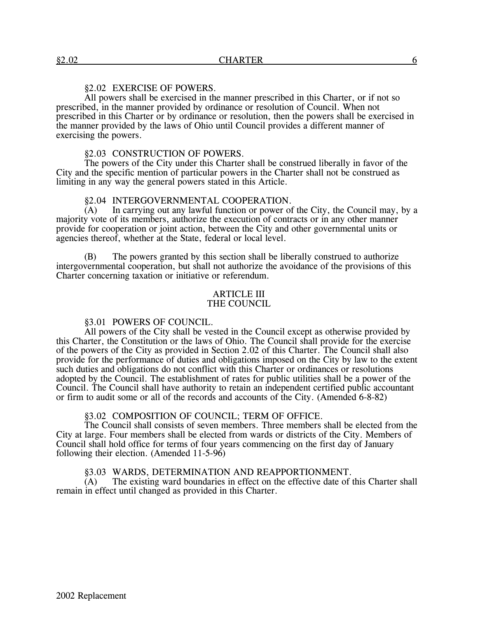## §2.02 EXERCISE OF POWERS.

All powers shall be exercised in the manner prescribed in this Charter, or if not so prescribed, in the manner provided by ordinance or resolution of Council. When not prescribed in this Charter or by ordinance or resolution, then the powers shall be exercised in the manner provided by the laws of Ohio until Council provides a different manner of exercising the powers.

## §2.03 CONSTRUCTION OF POWERS.

The powers of the City under this Charter shall be construed liberally in favor of the City and the specific mention of particular powers in the Charter shall not be construed as limiting in any way the general powers stated in this Article.

### §2.04 INTERGOVERNMENTAL COOPERATION.

(A) In carrying out any lawful function or power of the City, the Council may, by a majority vote of its members, authorize the execution of contracts or in any other manner provide for cooperation or joint action, between the City and other governmental units or agencies thereof, whether at the State, federal or local level.

(B) The powers granted by this section shall be liberally construed to authorize intergovernmental cooperation, but shall not authorize the avoidance of the provisions of this Charter concerning taxation or initiative or referendum.

#### ARTICLE III THE COUNCIL

### §3.01 POWERS OF COUNCIL.

All powers of the City shall be vested in the Council except as otherwise provided by this Charter, the Constitution or the laws of Ohio. The Council shall provide for the exercise of the powers of the City as provided in Section 2.02 of this Charter. The Council shall also provide for the performance of duties and obligations imposed on the City by law to the extent such duties and obligations do not conflict with this Charter or ordinances or resolutions adopted by the Council. The establishment of rates for public utilities shall be a power of the Council. The Council shall have authority to retain an independent certified public accountant or firm to audit some or all of the records and accounts of the City. (Amended 6-8-82)

## §3.02 COMPOSITION OF COUNCIL; TERM OF OFFICE.

The Council shall consists of seven members. Three members shall be elected from the City at large. Four members shall be elected from wards or districts of the City. Members of Council shall hold office for terms of four years commencing on the first day of January following their election. (Amended 11-5-96)

### §3.03 WARDS, DETERMINATION AND REAPPORTIONMENT.

(A) The existing ward boundaries in effect on the effective date of this Charter shall remain in effect until changed as provided in this Charter.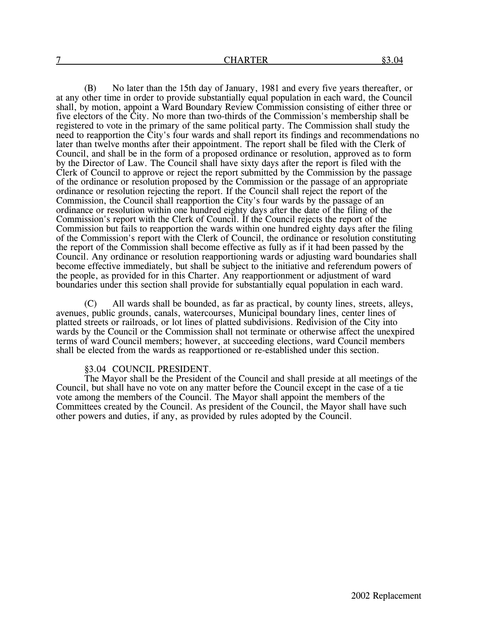(B) No later than the 15th day of January, 1981 and every five years thereafter, or at any other time in order to provide substantially equal population in each ward, the Council shall, by motion, appoint a Ward Boundary Review Commission consisting of either three or five electors of the City. No more than two-thirds of the Commission's membership shall be registered to vote in the primary of the same political party. The Commission shall study the need to reapportion the City's four wards and shall report its findings and recommendations no later than twelve months after their appointment. The report shall be filed with the Clerk of Council, and shall be in the form of a proposed ordinance or resolution, approved as to form by the Director of Law. The Council shall have sixty days after the report is filed with the Clerk of Council to approve or reject the report submitted by the Commission by the passage of the ordinance or resolution proposed by the Commission or the passage of an appropriate ordinance or resolution rejecting the report. If the Council shall reject the report of the Commission, the Council shall reapportion the City's four wards by the passage of an ordinance or resolution within one hundred eighty days after the date of the filing of the Commission's report with the Clerk of Council. If the Council rejects the report of the Commission but fails to reapportion the wards within one hundred eighty days after the filing of the Commission's report with the Clerk of Council, the ordinance or resolution constituting the report of the Commission shall become effective as fully as if it had been passed by the Council. Any ordinance or resolution reapportioning wards or adjusting ward boundaries shall become effective immediately, but shall be subject to the initiative and referendum powers of the people, as provided for in this Charter. Any reapportionment or adjustment of ward boundaries under this section shall provide for substantially equal population in each ward.

(C) All wards shall be bounded, as far as practical, by county lines, streets, alleys, avenues, public grounds, canals, watercourses, Municipal boundary lines, center lines of platted streets or railroads, or lot lines of platted subdivisions. Redivision of the City into wards by the Council or the Commission shall not terminate or otherwise affect the unexpired terms of ward Council members; however, at succeeding elections, ward Council members shall be elected from the wards as reapportioned or re-established under this section.

#### §3.04 COUNCIL PRESIDENT.

The Mayor shall be the President of the Council and shall preside at all meetings of the Council, but shall have no vote on any matter before the Council except in the case of a tie vote among the members of the Council. The Mayor shall appoint the members of the Committees created by the Council. As president of the Council, the Mayor shall have such other powers and duties, if any, as provided by rules adopted by the Council.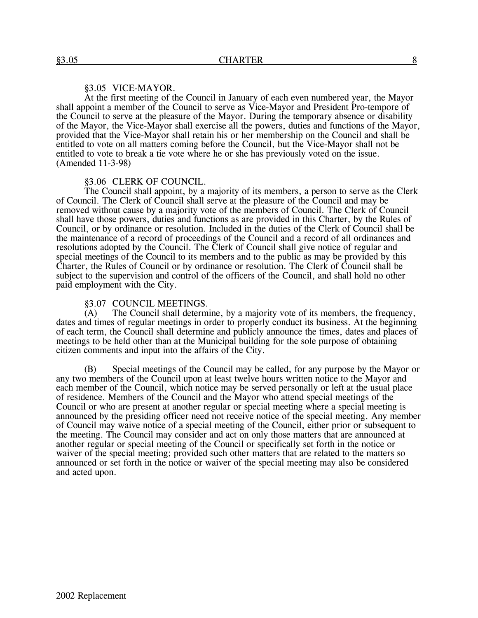#### §3.05 VICE-MAYOR.

At the first meeting of the Council in January of each even numbered year, the Mayor shall appoint a member of the Council to serve as Vice-Mayor and President Pro-tempore of the Council to serve at the pleasure of the Mayor. During the temporary absence or disability of the Mayor, the Vice-Mayor shall exercise all the powers, duties and functions of the Mayor, provided that the Vice-Mayor shall retain his or her membership on the Council and shall be entitled to vote on all matters coming before the Council, but the Vice-Mayor shall not be entitled to vote to break a tie vote where he or she has previously voted on the issue. (Amended 11-3-98)

#### §3.06 CLERK OF COUNCIL.

The Council shall appoint, by a majority of its members, a person to serve as the Clerk of Council. The Clerk of Council shall serve at the pleasure of the Council and may be removed without cause by a majority vote of the members of Council. The Clerk of Council shall have those powers, duties and functions as are provided in this Charter, by the Rules of Council, or by ordinance or resolution. Included in the duties of the Clerk of Council shall be the maintenance of a record of proceedings of the Council and a record of all ordinances and resolutions adopted by the Council. The Clerk of Council shall give notice of regular and special meetings of the Council to its members and to the public as may be provided by this Charter, the Rules of Council or by ordinance or resolution. The Clerk of Council shall be subject to the supervision and control of the officers of the Council, and shall hold no other paid employment with the City.

#### §3.07 COUNCIL MEETINGS.

 $(A)$  The Council shall determine, by a majority vote of its members, the frequency, dates and times of regular meetings in order to properly conduct its business. At the beginning of each term, the Council shall determine and publicly announce the times, dates and places of meetings to be held other than at the Municipal building for the sole purpose of obtaining citizen comments and input into the affairs of the City.

(B) Special meetings of the Council may be called, for any purpose by the Mayor or any two members of the Council upon at least twelve hours written notice to the Mayor and each member of the Council, which notice may be served personally or left at the usual place of residence. Members of the Council and the Mayor who attend special meetings of the Council or who are present at another regular or special meeting where a special meeting is announced by the presiding officer need not receive notice of the special meeting. Any member of Council may waive notice of a special meeting of the Council, either prior or subsequent to the meeting. The Council may consider and act on only those matters that are announced at another regular or special meeting of the Council or specifically set forth in the notice or waiver of the special meeting; provided such other matters that are related to the matters so announced or set forth in the notice or waiver of the special meeting may also be considered and acted upon.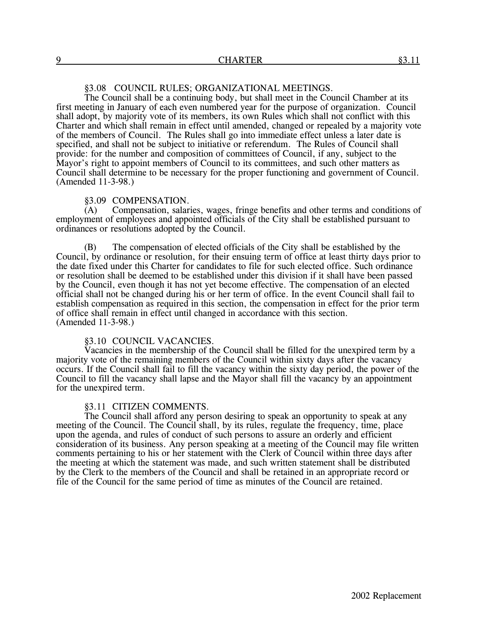§3.08 COUNCIL RULES; ORGANIZATIONAL MEETINGS.

The Council shall be a continuing body, but shall meet in the Council Chamber at its first meeting in January of each even numbered year for the purpose of organization. Council shall adopt, by majority vote of its members, its own Rules which shall not conflict with this Charter and which shall remain in effect until amended, changed or repealed by a majority vote of the members of Council. The Rules shall go into immediate effect unless a later date is specified, and shall not be subject to initiative or referendum. The Rules of Council shall provide: for the number and composition of committees of Council, if any, subject to the Mayor's right to appoint members of Council to its committees, and such other matters as Council shall determine to be necessary for the proper functioning and government of Council. (Amended 11-3-98.)

## §3.09 COMPENSATION.

(A) Compensation, salaries, wages, fringe benefits and other terms and conditions of employment of employees and appointed officials of the City shall be established pursuant to ordinances or resolutions adopted by the Council.

(B) The compensation of elected officials of the City shall be established by the Council, by ordinance or resolution, for their ensuing term of office at least thirty days prior to the date fixed under this Charter for candidates to file for such elected office. Such ordinance or resolution shall be deemed to be established under this division if it shall have been passed by the Council, even though it has not yet become effective. The compensation of an elected official shall not be changed during his or her term of office. In the event Council shall fail to establish compensation as required in this section, the compensation in effect for the prior term of office shall remain in effect until changed in accordance with this section. (Amended 11-3-98.)

## §3.10 COUNCIL VACANCIES.

Vacancies in the membership of the Council shall be filled for the unexpired term by a majority vote of the remaining members of the Council within sixty days after the vacancy occurs. If the Council shall fail to fill the vacancy within the sixty day period, the power of the Council to fill the vacancy shall lapse and the Mayor shall fill the vacancy by an appointment for the unexpired term.

## §3.11 CITIZEN COMMENTS.

The Council shall afford any person desiring to speak an opportunity to speak at any meeting of the Council. The Council shall, by its rules, regulate the frequency, time, place upon the agenda, and rules of conduct of such persons to assure an orderly and efficient consideration of its business. Any person speaking at a meeting of the Council may file written comments pertaining to his or her statement with the Clerk of Council within three days after the meeting at which the statement was made, and such written statement shall be distributed by the Clerk to the members of the Council and shall be retained in an appropriate record or file of the Council for the same period of time as minutes of the Council are retained.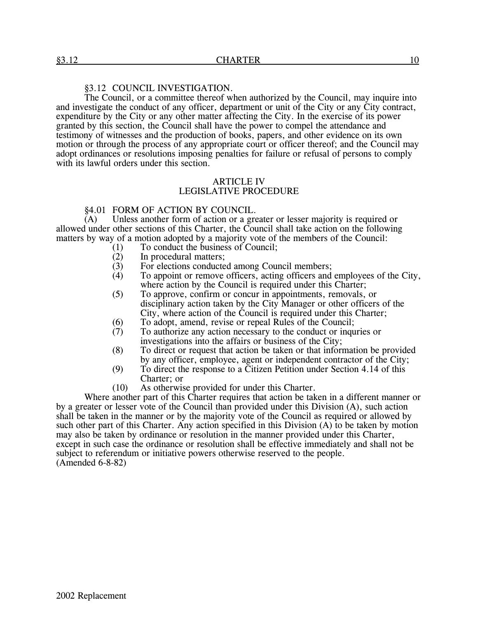## §3.12 COUNCIL INVESTIGATION.

The Council, or a committee thereof when authorized by the Council, may inquire into and investigate the conduct of any officer, department or unit of the City or any City contract, expenditure by the City or any other matter affecting the City. In the exercise of its power granted by this section, the Council shall have the power to compel the attendance and testimony of witnesses and the production of books, papers, and other evidence on its own motion or through the process of any appropriate court or officer thereof; and the Council may adopt ordinances or resolutions imposing penalties for failure or refusal of persons to comply with its lawful orders under this section.

#### ARTICLE IV LEGISLATIVE PROCEDURE

## §4.01 FORM OF ACTION BY COUNCIL.

(A) Unless another form of action or a greater or lesser majority is required or allowed under other sections of this Charter, the Council shall take action on the following matters by way of a motion adopted by a majority vote of the members of the Council:

- (1) To conduct the business of Council;<br>(2) In procedural matters;
- (2) In procedural matters;<br>(3) For elections conducte
- (3) For elections conducted among Council members;<br>(4) To appoint or remove officers, acting officers and
- To appoint or remove officers, acting officers and employees of the City, where action by the Council is required under this Charter;
- (5) To approve, confirm or concur in appointments, removals, or disciplinary action taken by the City Manager or other officers of the City, where action of the Council is required under this Charter;
- (6) To adopt, amend, revise or repeal Rules of the Council;
- (7) To authorize any action necessary to the conduct or inquries or investigations into the affairs or business of the City;
- (8) To direct or request that action be taken or that information be provided by any officer, employee, agent or independent contractor of the City;
- (9) To direct the response to a Citizen Petition under Section 4.14 of this Charter; or
- (10) As otherwise provided for under this Charter.

Where another part of this Charter requires that action be taken in a different manner or by a greater or lesser vote of the Council than provided under this Division (A), such action shall be taken in the manner or by the majority vote of the Council as required or allowed by such other part of this Charter. Any action specified in this Division (A) to be taken by motion may also be taken by ordinance or resolution in the manner provided under this Charter, except in such case the ordinance or resolution shall be effective immediately and shall not be subject to referendum or initiative powers otherwise reserved to the people. (Amended 6-8-82)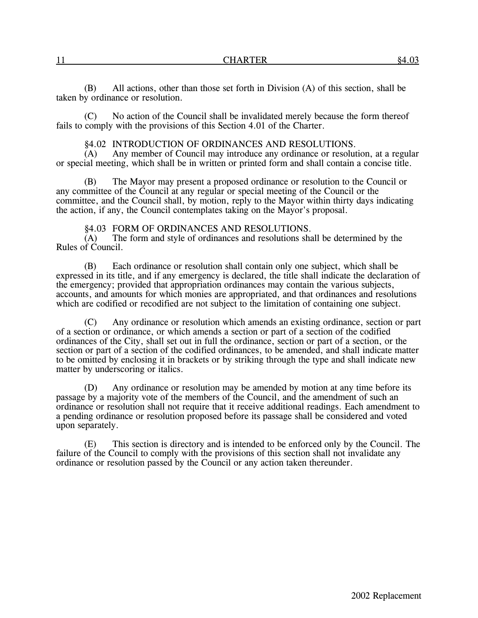(B) All actions, other than those set forth in Division (A) of this section, shall be taken by ordinance or resolution.

(C) No action of the Council shall be invalidated merely because the form thereof fails to comply with the provisions of this Section 4.01 of the Charter.

# §4.02 INTRODUCTION OF ORDINANCES AND RESOLUTIONS.<br>(A) Any member of Council may introduce any ordinance or resolut

(A) Any member of Council may introduce any ordinance or resolution, at a regular or special meeting, which shall be in written or printed form and shall contain a concise title.

(B) The Mayor may present a proposed ordinance or resolution to the Council or any committee of the Council at any regular or special meeting of the Council or the committee, and the Council shall, by motion, reply to the Mayor within thirty days indicating the action, if any, the Council contemplates taking on the Mayor's proposal.

#### §4.03 FORM OF ORDINANCES AND RESOLUTIONS.

(A) The form and style of ordinances and resolutions shall be determined by the Rules of Council.

(B) Each ordinance or resolution shall contain only one subject, which shall be expressed in its title, and if any emergency is declared, the title shall indicate the declaration of the emergency; provided that appropriation ordinances may contain the various subjects, accounts, and amounts for which monies are appropriated, and that ordinances and resolutions which are codified or recodified are not subject to the limitation of containing one subject.

(C) Any ordinance or resolution which amends an existing ordinance, section or part of a section or ordinance, or which amends a section or part of a section of the codified ordinances of the City, shall set out in full the ordinance, section or part of a section, or the section or part of a section of the codified ordinances, to be amended, and shall indicate matter to be omitted by enclosing it in brackets or by striking through the type and shall indicate new matter by underscoring or italics.

(D) Any ordinance or resolution may be amended by motion at any time before its passage by a majority vote of the members of the Council, and the amendment of such an ordinance or resolution shall not require that it receive additional readings. Each amendment to a pending ordinance or resolution proposed before its passage shall be considered and voted upon separately.

(E) This section is directory and is intended to be enforced only by the Council. The failure of the Council to comply with the provisions of this section shall not invalidate any ordinance or resolution passed by the Council or any action taken thereunder.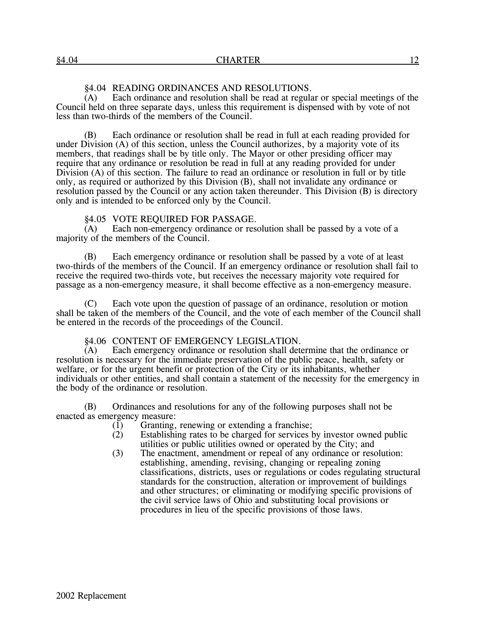## §4.04 READING ORDINANCES AND RESOLUTIONS.

(A) Each ordinance and resolution shall be read at regular or special meetings of the Council held on three separate days, unless this requirement is dispensed with by vote of not less than two-thirds of the members of the Council.

(B) Each ordinance or resolution shall be read in full at each reading provided for under Division (A) of this section, unless the Council authorizes, by a majority vote of its members, that readings shall be by title only. The Mayor or other presiding officer may require that any ordinance or resolution be read in full at any reading provided for under Division (A) of this section. The failure to read an ordinance or resolution in full or by title only, as required or authorized by this Division (B), shall not invalidate any ordinance or resolution passed by the Council or any action taken thereunder. This Division (B) is directory only and is intended to be enforced only by the Council.

## §4.05 VOTE REQUIRED FOR PASSAGE.

(A) Each non-emergency ordinance or resolution shall be passed by a vote of a majority of the members of the Council.

(B) Each emergency ordinance or resolution shall be passed by a vote of at least two-thirds of the members of the Council. If an emergency ordinance or resolution shall fail to receive the required two-thirds vote, but receives the necessary majority vote required for passage as a non-emergency measure, it shall become effective as a non-emergency measure.

(C) Each vote upon the question of passage of an ordinance, resolution or motion shall be taken of the members of the Council, and the vote of each member of the Council shall be entered in the records of the proceedings of the Council.

## §4.06 CONTENT OF EMERGENCY LEGISLATION.

(A) Each emergency ordinance or resolution shall determine that the ordinance or resolution is necessary for the immediate preservation of the public peace, health, safety or welfare, or for the urgent benefit or protection of the City or its inhabitants, whether individuals or other entities, and shall contain a statement of the necessity for the emergency in the body of the ordinance or resolution.

(B) Ordinances and resolutions for any of the following purposes shall not be enacted as emergency measure:<br> $(1)$  Granting,

- Granting, renewing or extending a franchise;
- (2) Establishing rates to be charged for services by investor owned public utilities or public utilities owned or operated by the City; and
- (3) The enactment, amendment or repeal of any ordinance or resolution: establishing, amending, revising, changing or repealing zoning classifications, districts, uses or regulations or codes regulating structural standards for the construction, alteration or improvement of buildings and other structures; or eliminating or modifying specific provisions of the civil service laws of Ohio and substituting local provisions or procedures in lieu of the specific provisions of those laws.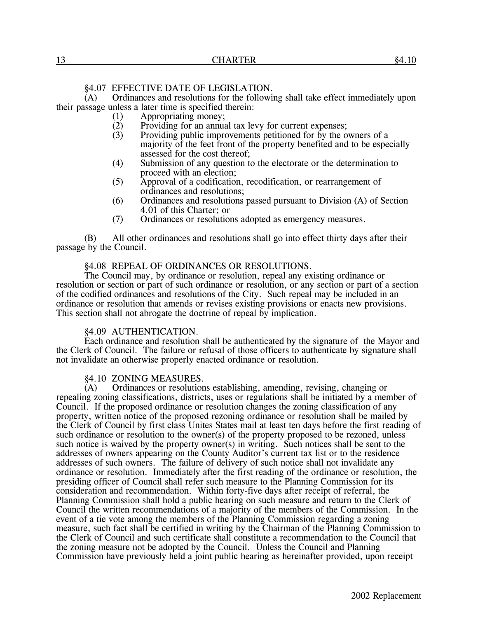## §4.07 EFFECTIVE DATE OF LEGISLATION.

(A) Ordinances and resolutions for the following shall take effect immediately upon their passage unless a later time is specified therein:

- (1) Appropriating money;
- (2) Providing for an annual tax levy for current expenses;<br>(3) Providing public improvements petitioned for by the  $\alpha$
- Providing public improvements petitioned for by the owners of a majority of the feet front of the property benefited and to be especially assessed for the cost thereof;
- (4) Submission of any question to the electorate or the determination to proceed with an election;
- (5) Approval of a codification, recodification, or rearrangement of ordinances and resolutions;
- (6) Ordinances and resolutions passed pursuant to Division (A) of Section 4.01 of this Charter; or
- (7) Ordinances or resolutions adopted as emergency measures.

(B) All other ordinances and resolutions shall go into effect thirty days after their passage by the Council.

## §4.08 REPEAL OF ORDINANCES OR RESOLUTIONS.

The Council may, by ordinance or resolution, repeal any existing ordinance or resolution or section or part of such ordinance or resolution, or any section or part of a section of the codified ordinances and resolutions of the City. Such repeal may be included in an ordinance or resolution that amends or revises existing provisions or enacts new provisions. This section shall not abrogate the doctrine of repeal by implication.

#### §4.09 AUTHENTICATION.

Each ordinance and resolution shall be authenticated by the signature of the Mayor and the Clerk of Council. The failure or refusal of those officers to authenticate by signature shall not invalidate an otherwise properly enacted ordinance or resolution.

## §4.10 ZONING MEASURES.

(A) Ordinances or resolutions establishing, amending, revising, changing or repealing zoning classifications, districts, uses or regulations shall be initiated by a member of Council. If the proposed ordinance or resolution changes the zoning classification of any property, written notice of the proposed rezoning ordinance or resolution shall be mailed by the Clerk of Council by first class Unites States mail at least ten days before the first reading of such ordinance or resolution to the owner(s) of the property proposed to be rezoned, unless such notice is waived by the property owner(s) in writing. Such notices shall be sent to the addresses of owners appearing on the County Auditor's current tax list or to the residence addresses of such owners. The failure of delivery of such notice shall not invalidate any ordinance or resolution. Immediately after the first reading of the ordinance or resolution, the presiding officer of Council shall refer such measure to the Planning Commission for its consideration and recommendation. Within forty-five days after receipt of referral, the Planning Commission shall hold a public hearing on such measure and return to the Clerk of Council the written recommendations of a majority of the members of the Commission. In the event of a tie vote among the members of the Planning Commission regarding a zoning measure, such fact shall be certified in writing by the Chairman of the Planning Commission to the Clerk of Council and such certificate shall constitute a recommendation to the Council that the zoning measure not be adopted by the Council. Unless the Council and Planning Commission have previously held a joint public hearing as hereinafter provided, upon receipt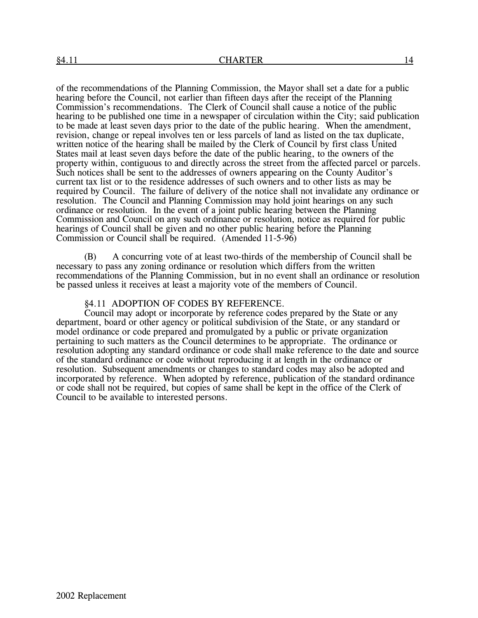of the recommendations of the Planning Commission, the Mayor shall set a date for a public hearing before the Council, not earlier than fifteen days after the receipt of the Planning Commission's recommendations. The Clerk of Council shall cause a notice of the public hearing to be published one time in a newspaper of circulation within the City; said publication to be made at least seven days prior to the date of the public hearing. When the amendment, revision, change or repeal involves ten or less parcels of land as listed on the tax duplicate, written notice of the hearing shall be mailed by the Clerk of Council by first class United States mail at least seven days before the date of the public hearing, to the owners of the property within, contiguous to and directly across the street from the affected parcel or parcels. Such notices shall be sent to the addresses of owners appearing on the County Auditor's current tax list or to the residence addresses of such owners and to other lists as may be required by Council. The failure of delivery of the notice shall not invalidate any ordinance or resolution. The Council and Planning Commission may hold joint hearings on any such ordinance or resolution. In the event of a joint public hearing between the Planning Commission and Council on any such ordinance or resolution, notice as required for public hearings of Council shall be given and no other public hearing before the Planning Commission or Council shall be required. (Amended 11-5-96)

(B) A concurring vote of at least two-thirds of the membership of Council shall be necessary to pass any zoning ordinance or resolution which differs from the written recommendations of the Planning Commission, but in no event shall an ordinance or resolution be passed unless it receives at least a majority vote of the members of Council.

## §4.11 ADOPTION OF CODES BY REFERENCE.

Council may adopt or incorporate by reference codes prepared by the State or any department, board or other agency or political subdivision of the State, or any standard or model ordinance or code prepared and promulgated by a public or private organization pertaining to such matters as the Council determines to be appropriate. The ordinance or resolution adopting any standard ordinance or code shall make reference to the date and source of the standard ordinance or code without reproducing it at length in the ordinance or resolution. Subsequent amendments or changes to standard codes may also be adopted and incorporated by reference. When adopted by reference, publication of the standard ordinance or code shall not be required, but copies of same shall be kept in the office of the Clerk of Council to be available to interested persons.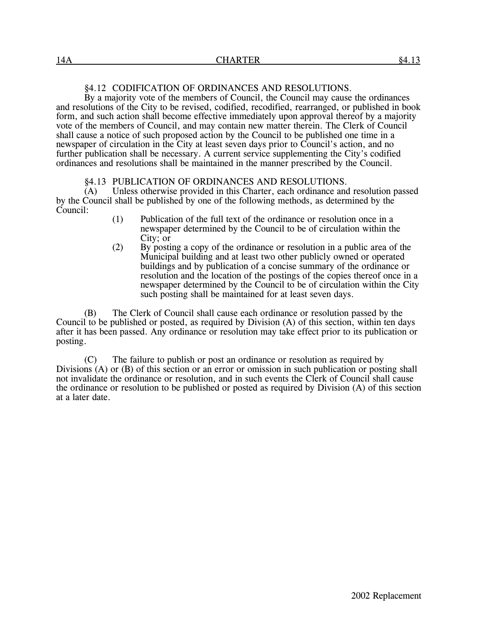## §4.12 CODIFICATION OF ORDINANCES AND RESOLUTIONS.

By a majority vote of the members of Council, the Council may cause the ordinances and resolutions of the City to be revised, codified, recodified, rearranged, or published in book form, and such action shall become effective immediately upon approval thereof by a majority vote of the members of Council, and may contain new matter therein. The Clerk of Council shall cause a notice of such proposed action by the Council to be published one time in a newspaper of circulation in the City at least seven days prior to Council's action, and no further publication shall be necessary. A current service supplementing the City's codified ordinances and resolutions shall be maintained in the manner prescribed by the Council.

### §4.13 PUBLICATION OF ORDINANCES AND RESOLUTIONS.

(A) Unless otherwise provided in this Charter, each ordinance and resolution passed by the Council shall be published by one of the following methods, as determined by the Council:

- (1) Publication of the full text of the ordinance or resolution once in a newspaper determined by the Council to be of circulation within the City; or
- (2) By posting a copy of the ordinance or resolution in a public area of the Municipal building and at least two other publicly owned or operated buildings and by publication of a concise summary of the ordinance or resolution and the location of the postings of the copies thereof once in a newspaper determined by the Council to be of circulation within the City such posting shall be maintained for at least seven days.

(B) The Clerk of Council shall cause each ordinance or resolution passed by the Council to be published or posted, as required by Division (A) of this section, within ten days after it has been passed. Any ordinance or resolution may take effect prior to its publication or posting.

(C) The failure to publish or post an ordinance or resolution as required by Divisions (A) or (B) of this section or an error or omission in such publication or posting shall not invalidate the ordinance or resolution, and in such events the Clerk of Council shall cause the ordinance or resolution to be published or posted as required by Division (A) of this section at a later date.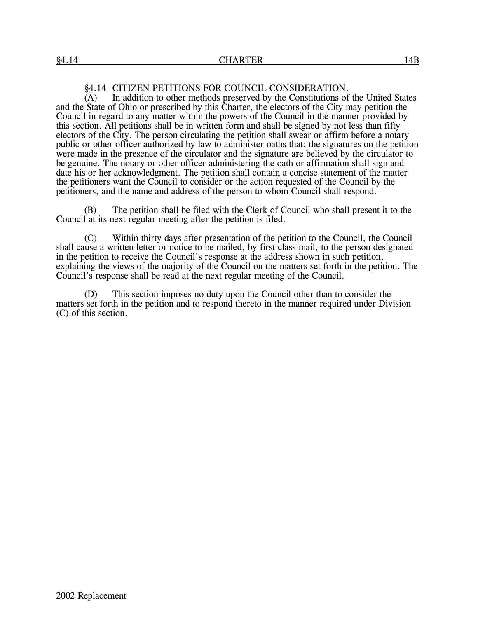§4.14 CITIZEN PETITIONS FOR COUNCIL CONSIDERATION.

(A) In addition to other methods preserved by the Constitutions of the United States and the State of Ohio or prescribed by this Charter, the electors of the City may petition the Council in regard to any matter within the powers of the Council in the manner provided by this section. All petitions shall be in written form and shall be signed by not less than fifty electors of the City. The person circulating the petition shall swear or affirm before a notary public or other officer authorized by law to administer oaths that: the signatures on the petition were made in the presence of the circulator and the signature are believed by the circulator to be genuine. The notary or other officer administering the oath or affirmation shall sign and date his or her acknowledgment. The petition shall contain a concise statement of the matter the petitioners want the Council to consider or the action requested of the Council by the petitioners, and the name and address of the person to whom Council shall respond.

(B) The petition shall be filed with the Clerk of Council who shall present it to the Council at its next regular meeting after the petition is filed.

(C) Within thirty days after presentation of the petition to the Council, the Council shall cause a written letter or notice to be mailed, by first class mail, to the person designated in the petition to receive the Council's response at the address shown in such petition, explaining the views of the majority of the Council on the matters set forth in the petition. The Council's response shall be read at the next regular meeting of the Council.

(D) This section imposes no duty upon the Council other than to consider the matters set forth in the petition and to respond thereto in the manner required under Division (C) of this section.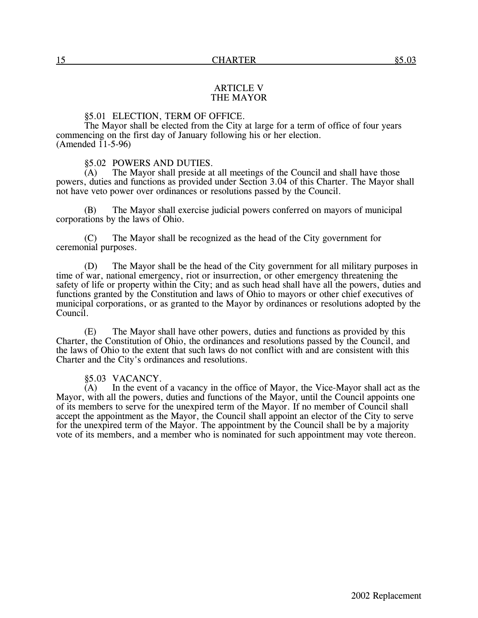#### ARTICLE V THE MAYOR

## §5.01 ELECTION, TERM OF OFFICE.

The Mayor shall be elected from the City at large for a term of office of four years commencing on the first day of January following his or her election. (Amended 11-5-96)

#### §5.02 POWERS AND DUTIES.

 $(A)$  The Mayor shall preside at all meetings of the Council and shall have those powers, duties and functions as provided under Section 3.04 of this Charter. The Mayor shall not have veto power over ordinances or resolutions passed by the Council.

(B) The Mayor shall exercise judicial powers conferred on mayors of municipal corporations by the laws of Ohio.

(C) The Mayor shall be recognized as the head of the City government for ceremonial purposes.

(D) The Mayor shall be the head of the City government for all military purposes in time of war, national emergency, riot or insurrection, or other emergency threatening the safety of life or property within the City; and as such head shall have all the powers, duties and functions granted by the Constitution and laws of Ohio to mayors or other chief executives of municipal corporations, or as granted to the Mayor by ordinances or resolutions adopted by the Council.

(E) The Mayor shall have other powers, duties and functions as provided by this Charter, the Constitution of Ohio, the ordinances and resolutions passed by the Council, and the laws of Ohio to the extent that such laws do not conflict with and are consistent with this Charter and the City's ordinances and resolutions.

#### §5.03 VACANCY.

(A) In the event of a vacancy in the office of Mayor, the Vice-Mayor shall act as the Mayor, with all the powers, duties and functions of the Mayor, until the Council appoints one of its members to serve for the unexpired term of the Mayor. If no member of Council shall accept the appointment as the Mayor, the Council shall appoint an elector of the City to serve for the unexpired term of the Mayor. The appointment by the Council shall be by a majority vote of its members, and a member who is nominated for such appointment may vote thereon.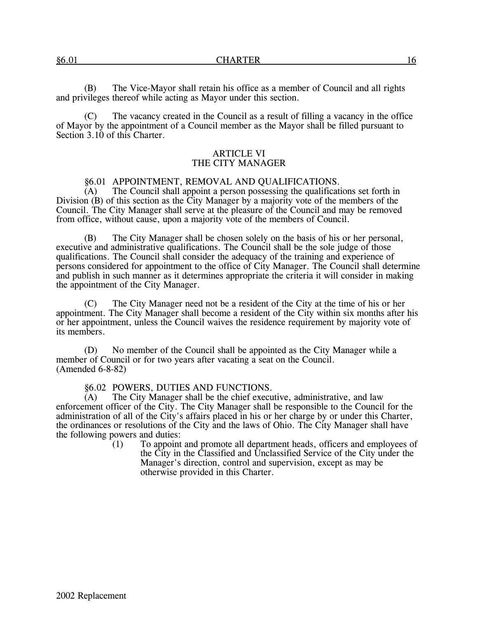(B) The Vice-Mayor shall retain his office as a member of Council and all rights and privileges thereof while acting as Mayor under this section.

(C) The vacancy created in the Council as a result of filling a vacancy in the office of Mayor by the appointment of a Council member as the Mayor shall be filled pursuant to Section 3.10 of this Charter.

#### ARTICLE VI THE CITY MANAGER

## §6.01 APPOINTMENT, REMOVAL AND QUALIFICATIONS.

(A) The Council shall appoint a person possessing the qualifications set forth in Division (B) of this section as the City Manager by a majority vote of the members of the Council. The City Manager shall serve at the pleasure of the Council and may be removed from office, without cause, upon a majority vote of the members of Council.

(B) The City Manager shall be chosen solely on the basis of his or her personal, executive and administrative qualifications. The Council shall be the sole judge of those qualifications. The Council shall consider the adequacy of the training and experience of persons considered for appointment to the office of City Manager. The Council shall determine and publish in such manner as it determines appropriate the criteria it will consider in making the appointment of the City Manager.

(C) The City Manager need not be a resident of the City at the time of his or her appointment. The City Manager shall become a resident of the City within six months after his or her appointment, unless the Council waives the residence requirement by majority vote of its members.

(D) No member of the Council shall be appointed as the City Manager while a member of Council or for two years after vacating a seat on the Council. (Amended 6-8-82)

§6.02 POWERS, DUTIES AND FUNCTIONS.

(A) The City Manager shall be the chief executive, administrative, and law enforcement officer of the City. The City Manager shall be responsible to the Council for the administration of all of the City's affairs placed in his or her charge by or under this Charter, the ordinances or resolutions of the City and the laws of Ohio. The City Manager shall have the following powers and duties:

> (1) To appoint and promote all department heads, officers and employees of the City in the Classified and Unclassified Service of the City under the Manager's direction, control and supervision, except as may be otherwise provided in this Charter.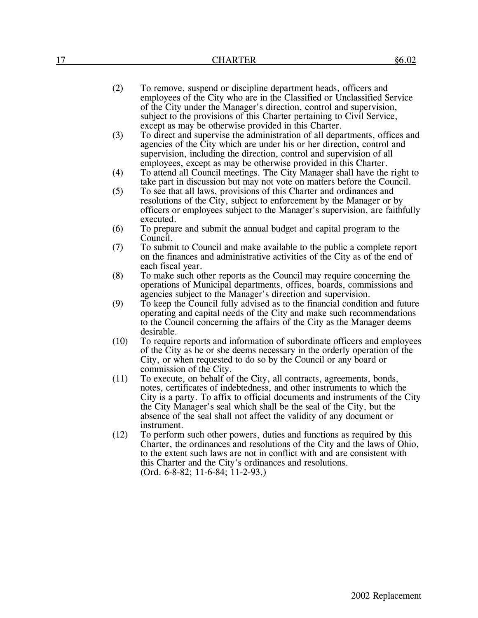- (2) To remove, suspend or discipline department heads, officers and employees of the City who are in the Classified or Unclassified Service of the City under the Manager's direction, control and supervision, subject to the provisions of this Charter pertaining to Civil Service, except as may be otherwise provided in this Charter.
- (3) To direct and supervise the administration of all departments, offices and agencies of the City which are under his or her direction, control and supervision, including the direction, control and supervision of all employees, except as may be otherwise provided in this Charter.
- (4) To attend all Council meetings. The City Manager shall have the right to take part in discussion but may not vote on matters before the Council.
- (5) To see that all laws, provisions of this Charter and ordinances and resolutions of the City, subject to enforcement by the Manager or by officers or employees subject to the Manager's supervision, are faithfully executed.
- (6) To prepare and submit the annual budget and capital program to the Council.
- (7) To submit to Council and make available to the public a complete report on the finances and administrative activities of the City as of the end of each fiscal year.
- (8) To make such other reports as the Council may require concerning the operations of Municipal departments, offices, boards, commissions and agencies subject to the Manager's direction and supervision.
- (9) To keep the Council fully advised as to the financial condition and future operating and capital needs of the City and make such recommendations to the Council concerning the affairs of the City as the Manager deems desirable.
- (10) To require reports and information of subordinate officers and employees of the City as he or she deems necessary in the orderly operation of the City, or when requested to do so by the Council or any board or commission of the City.
- (11) To execute, on behalf of the City, all contracts, agreements, bonds, notes, certificates of indebtedness, and other instruments to which the City is a party. To affix to official documents and instruments of the City the City Manager's seal which shall be the seal of the City, but the absence of the seal shall not affect the validity of any document or instrument.
- (12) To perform such other powers, duties and functions as required by this Charter, the ordinances and resolutions of the City and the laws of Ohio, to the extent such laws are not in conflict with and are consistent with this Charter and the City's ordinances and resolutions. (Ord. 6-8-82; 11-6-84; 11-2-93.)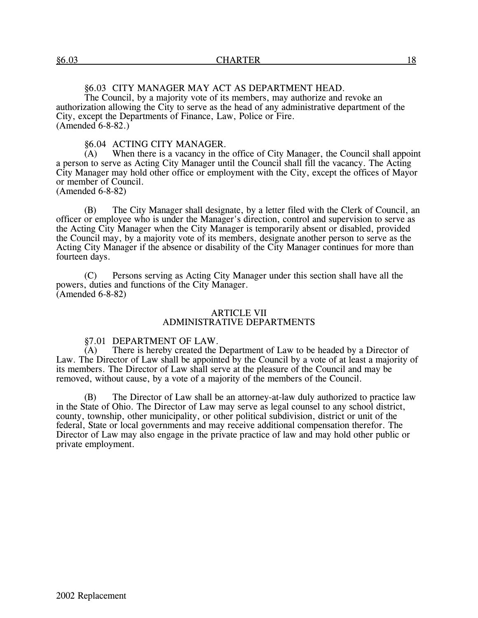## §6.03 CITY MANAGER MAY ACT AS DEPARTMENT HEAD. The Council, by a majority vote of its members, may authorize and revoke an authorization allowing the City to serve as the head of any administrative department of the City, except the Departments of Finance, Law, Police or Fire. (Amended 6-8-82.)

§6.04 ACTING CITY MANAGER.<br>(A) When there is a vacancy in the

When there is a vacancy in the office of City Manager, the Council shall appoint a person to serve as Acting City Manager until the Council shall fill the vacancy. The Acting City Manager may hold other office or employment with the City, except the offices of Mayor or member of Council.

(Amended 6-8-82)

(B) The City Manager shall designate, by a letter filed with the Clerk of Council, an officer or employee who is under the Manager's direction, control and supervision to serve as the Acting City Manager when the City Manager is temporarily absent or disabled, provided the Council may, by a majority vote of its members, designate another person to serve as the Acting City Manager if the absence or disability of the City Manager continues for more than fourteen days.

(C) Persons serving as Acting City Manager under this section shall have all the powers, duties and functions of the City Manager. (Amended 6-8-82)

## ARTICLE VII

## ADMINISTRATIVE DEPARTMENTS

## §7.01 DEPARTMENT OF LAW.

(A) There is hereby created the Department of Law to be headed by a Director of Law. The Director of Law shall be appointed by the Council by a vote of at least a majority of its members. The Director of Law shall serve at the pleasure of the Council and may be removed, without cause, by a vote of a majority of the members of the Council.

(B) The Director of Law shall be an attorney-at-law duly authorized to practice law in the State of Ohio. The Director of Law may serve as legal counsel to any school district, county, township, other municipality, or other political subdivision, district or unit of the federal, State or local governments and may receive additional compensation therefor. The Director of Law may also engage in the private practice of law and may hold other public or private employment.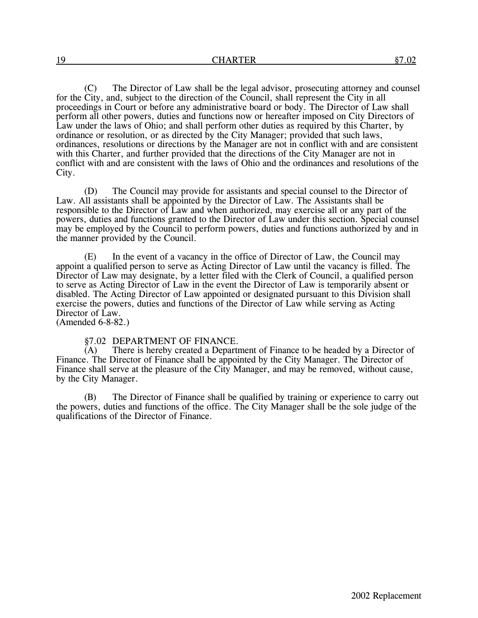(C) The Director of Law shall be the legal advisor, prosecuting attorney and counsel for the City, and, subject to the direction of the Council, shall represent the City in all proceedings in Court or before any administrative board or body. The Director of Law shall perform all other powers, duties and functions now or hereafter imposed on City Directors of Law under the laws of Ohio; and shall perform other duties as required by this Charter, by ordinance or resolution, or as directed by the City Manager; provided that such laws, ordinances, resolutions or directions by the Manager are not in conflict with and are consistent with this Charter, and further provided that the directions of the City Manager are not in conflict with and are consistent with the laws of Ohio and the ordinances and resolutions of the City.

(D) The Council may provide for assistants and special counsel to the Director of Law. All assistants shall be appointed by the Director of Law. The Assistants shall be responsible to the Director of Law and when authorized, may exercise all or any part of the powers, duties and functions granted to the Director of Law under this section. Special counsel may be employed by the Council to perform powers, duties and functions authorized by and in the manner provided by the Council.

(E) In the event of a vacancy in the office of Director of Law, the Council may appoint a qualified person to serve as Acting Director of Law until the vacancy is filled. The Director of Law may designate, by a letter filed with the Clerk of Council, a qualified person to serve as Acting Director of Law in the event the Director of Law is temporarily absent or disabled. The Acting Director of Law appointed or designated pursuant to this Division shall exercise the powers, duties and functions of the Director of Law while serving as Acting Director of Law.

(Amended 6-8-82.)

## §7.02 DEPARTMENT OF FINANCE.

(A) There is hereby created a Department of Finance to be headed by a Director of Finance. The Director of Finance shall be appointed by the City Manager. The Director of Finance shall serve at the pleasure of the City Manager, and may be removed, without cause, by the City Manager.

(B) The Director of Finance shall be qualified by training or experience to carry out the powers, duties and functions of the office. The City Manager shall be the sole judge of the qualifications of the Director of Finance.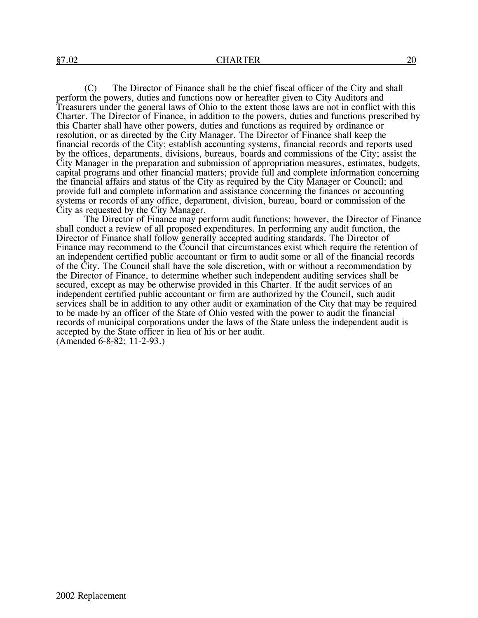(C) The Director of Finance shall be the chief fiscal officer of the City and shall perform the powers, duties and functions now or hereafter given to City Auditors and Treasurers under the general laws of Ohio to the extent those laws are not in conflict with this Charter. The Director of Finance, in addition to the powers, duties and functions prescribed by this Charter shall have other powers, duties and functions as required by ordinance or resolution, or as directed by the City Manager. The Director of Finance shall keep the financial records of the City; establish accounting systems, financial records and reports used by the offices, departments, divisions, bureaus, boards and commissions of the City; assist the City Manager in the preparation and submission of appropriation measures, estimates, budgets, capital programs and other financial matters; provide full and complete information concerning the financial affairs and status of the City as required by the City Manager or Council; and provide full and complete information and assistance concerning the finances or accounting systems or records of any office, department, division, bureau, board or commission of the City as requested by the City Manager.

The Director of Finance may perform audit functions; however, the Director of Finance shall conduct a review of all proposed expenditures. In performing any audit function, the Director of Finance shall follow generally accepted auditing standards. The Director of Finance may recommend to the Council that circumstances exist which require the retention of an independent certified public accountant or firm to audit some or all of the financial records of the City. The Council shall have the sole discretion, with or without a recommendation by the Director of Finance, to determine whether such independent auditing services shall be secured, except as may be otherwise provided in this Charter. If the audit services of an independent certified public accountant or firm are authorized by the Council, such audit services shall be in addition to any other audit or examination of the City that may be required to be made by an officer of the State of Ohio vested with the power to audit the financial records of municipal corporations under the laws of the State unless the independent audit is accepted by the State officer in lieu of his or her audit. (Amended 6-8-82; 11-2-93.)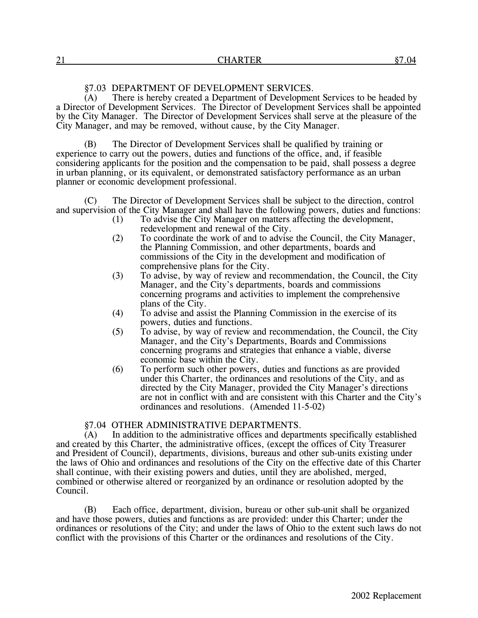## §7.03 DEPARTMENT OF DEVELOPMENT SERVICES.

(A) There is hereby created a Department of Development Services to be headed by a Director of Development Services. The Director of Development Services shall be appointed by the City Manager. The Director of Development Services shall serve at the pleasure of the City Manager, and may be removed, without cause, by the City Manager.

(B) The Director of Development Services shall be qualified by training or experience to carry out the powers, duties and functions of the office, and, if feasible considering applicants for the position and the compensation to be paid, shall possess a degree in urban planning, or its equivalent, or demonstrated satisfactory performance as an urban planner or economic development professional.

(C) The Director of Development Services shall be subject to the direction, control and supervision of the City Manager and shall have the following powers, duties and functions:

- (1) To advise the City Manager on matters affecting the development, redevelopment and renewal of the City.
- (2) To coordinate the work of and to advise the Council, the City Manager, the Planning Commission, and other departments, boards and commissions of the City in the development and modification of comprehensive plans for the City.
- (3) To advise, by way of review and recommendation, the Council, the City Manager, and the City's departments, boards and commissions concerning programs and activities to implement the comprehensive plans of the City.
- (4) To advise and assist the Planning Commission in the exercise of its powers, duties and functions.
- (5) To advise, by way of review and recommendation, the Council, the City Manager, and the City's Departments, Boards and Commissions concerning programs and strategies that enhance a viable, diverse economic base within the City.
- (6) To perform such other powers, duties and functions as are provided under this Charter, the ordinances and resolutions of the City, and as directed by the City Manager, provided the City Manager's directions are not in conflict with and are consistent with this Charter and the City's ordinances and resolutions. (Amended 11-5-02)

### §7.04 OTHER ADMINISTRATIVE DEPARTMENTS.

 $(A)$  In addition to the administrative offices and departments specifically established and created by this Charter, the administrative offices, (except the offices of City Treasurer and President of Council), departments, divisions, bureaus and other sub-units existing under the laws of Ohio and ordinances and resolutions of the City on the effective date of this Charter shall continue, with their existing powers and duties, until they are abolished, merged, combined or otherwise altered or reorganized by an ordinance or resolution adopted by the Council.

(B) Each office, department, division, bureau or other sub-unit shall be organized and have those powers, duties and functions as are provided: under this Charter; under the ordinances or resolutions of the City; and under the laws of Ohio to the extent such laws do not conflict with the provisions of this Charter or the ordinances and resolutions of the City.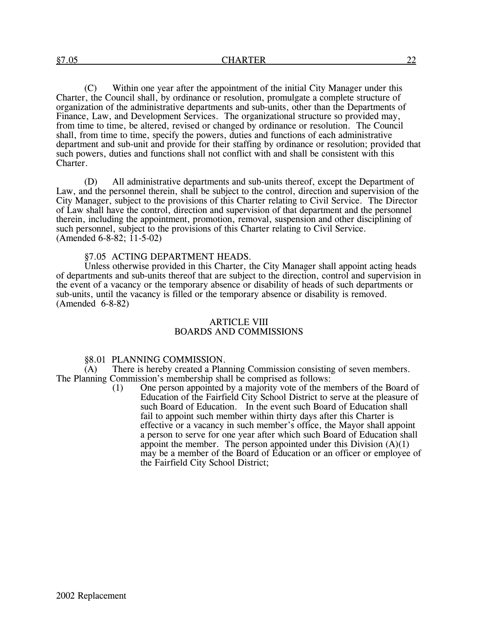(C) Within one year after the appointment of the initial City Manager under this Charter, the Council shall, by ordinance or resolution, promulgate a complete structure of organization of the administrative departments and sub-units, other than the Departments of Finance, Law, and Development Services. The organizational structure so provided may, from time to time, be altered, revised or changed by ordinance or resolution. The Council shall, from time to time, specify the powers, duties and functions of each administrative department and sub-unit and provide for their staffing by ordinance or resolution; provided that such powers, duties and functions shall not conflict with and shall be consistent with this Charter.

(D) All administrative departments and sub-units thereof, except the Department of Law, and the personnel therein, shall be subject to the control, direction and supervision of the City Manager, subject to the provisions of this Charter relating to Civil Service. The Director of Law shall have the control, direction and supervision of that department and the personnel therein, including the appointment, promotion, removal, suspension and other disciplining of such personnel, subject to the provisions of this Charter relating to Civil Service. (Amended 6-8-82; 11-5-02)

#### §7.05 ACTING DEPARTMENT HEADS.

Unless otherwise provided in this Charter, the City Manager shall appoint acting heads of departments and sub-units thereof that are subject to the direction, control and supervision in the event of a vacancy or the temporary absence or disability of heads of such departments or sub-units, until the vacancy is filled or the temporary absence or disability is removed. (Amended 6-8-82)

#### ARTICLE VIII BOARDS AND COMMISSIONS

#### §8.01 PLANNING COMMISSION.

(A) There is hereby created a Planning Commission consisting of seven members. The Planning Commission's membership shall be comprised as follows:

(1) One person appointed by a majority vote of the members of the Board of Education of the Fairfield City School District to serve at the pleasure of such Board of Education. In the event such Board of Education shall fail to appoint such member within thirty days after this Charter is effective or a vacancy in such member's office, the Mayor shall appoint a person to serve for one year after which such Board of Education shall appoint the member. The person appointed under this Division  $(A)(1)$ may be a member of the Board of Education or an officer or employee of the Fairfield City School District;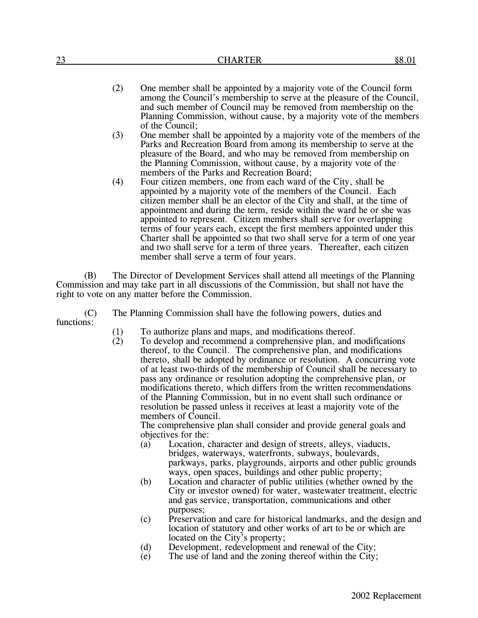- (2) One member shall be appointed by a majority vote of the Council form among the Council's membership to serve at the pleasure of the Council, and such member of Council may be removed from membership on the Planning Commission, without cause, by a majority vote of the members of the Council;
- (3) One member shall be appointed by a majority vote of the members of the Parks and Recreation Board from among its membership to serve at the pleasure of the Board, and who may be removed from membership on the Planning Commission, without cause, by a majority vote of the members of the Parks and Recreation Board;
- (4) Four citizen members, one from each ward of the City, shall be appointed by a majority vote of the members of the Council. Each citizen member shall be an elector of the City and shall, at the time of appointment and during the term, reside within the ward he or she was appointed to represent. Citizen members shall serve for overlapping terms of four years each, except the first members appointed under this Charter shall be appointed so that two shall serve for a term of one year and two shall serve for a term of three years. Thereafter, each citizen member shall serve a term of four years.

(B) The Director of Development Services shall attend all meetings of the Planning Commission and may take part in all discussions of the Commission, but shall not have the right to vote on any matter before the Commission.

(C) The Planning Commission shall have the following powers, duties and functions:

- (1) To authorize plans and maps, and modifications thereof.<br>(2) To develop and recommend a comprehensive plan, and r
	- To develop and recommend a comprehensive plan, and modifications thereof, to the Council. The comprehensive plan, and modifications thereto, shall be adopted by ordinance or resolution. A concurring vote of at least two-thirds of the membership of Council shall be necessary to pass any ordinance or resolution adopting the comprehensive plan, or modifications thereto, which differs from the written recommendations of the Planning Commission, but in no event shall such ordinance or resolution be passed unless it receives at least a majority vote of the members of Council.

The comprehensive plan shall consider and provide general goals and objectives for the:

- (a) Location, character and design of streets, alleys, viaducts, bridges, waterways, waterfronts, subways, boulevards, parkways, parks, playgrounds, airports and other public grounds ways, open spaces, buildings and other public property;
- (b) Location and character of public utilities (whether owned by the City or investor owned) for water, wastewater treatment, electric and gas service, transportation, communications and other purposes;
- (c) Preservation and care for historical landmarks, and the design and location of statutory and other works of art to be or which are located on the City's property;
- (d) Development, redevelopment and renewal of the City;
- (e) The use of land and the zoning thereof within the City;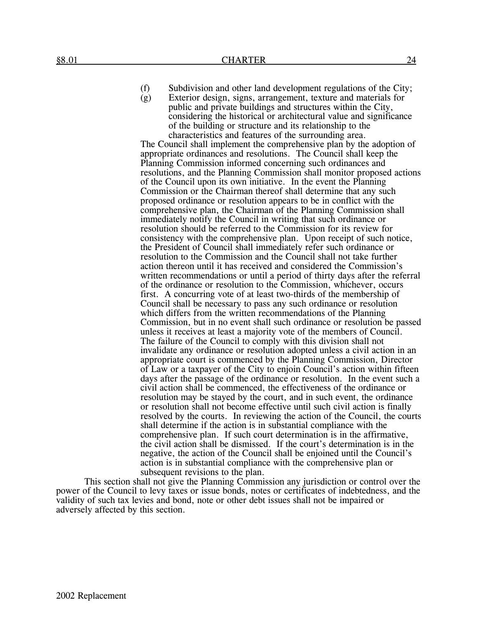- (f) Subdivision and other land development regulations of the City;
- (g) Exterior design, signs, arrangement, texture and materials for public and private buildings and structures within the City, considering the historical or architectural value and significance of the building or structure and its relationship to the characteristics and features of the surrounding area.

The Council shall implement the comprehensive plan by the adoption of appropriate ordinances and resolutions. The Council shall keep the Planning Commission informed concerning such ordinances and resolutions, and the Planning Commission shall monitor proposed actions of the Council upon its own initiative. In the event the Planning Commission or the Chairman thereof shall determine that any such proposed ordinance or resolution appears to be in conflict with the comprehensive plan, the Chairman of the Planning Commission shall immediately notify the Council in writing that such ordinance or resolution should be referred to the Commission for its review for consistency with the comprehensive plan. Upon receipt of such notice, the President of Council shall immediately refer such ordinance or resolution to the Commission and the Council shall not take further action thereon until it has received and considered the Commission's written recommendations or until a period of thirty days after the referral of the ordinance or resolution to the Commission, whichever, occurs first. A concurring vote of at least two-thirds of the membership of Council shall be necessary to pass any such ordinance or resolution which differs from the written recommendations of the Planning Commission, but in no event shall such ordinance or resolution be passed unless it receives at least a majority vote of the members of Council. The failure of the Council to comply with this division shall not invalidate any ordinance or resolution adopted unless a civil action in an appropriate court is commenced by the Planning Commission, Director of Law or a taxpayer of the City to enjoin Council's action within fifteen days after the passage of the ordinance or resolution. In the event such a civil action shall be commenced, the effectiveness of the ordinance or resolution may be stayed by the court, and in such event, the ordinance or resolution shall not become effective until such civil action is finally resolved by the courts. In reviewing the action of the Council, the courts shall determine if the action is in substantial compliance with the comprehensive plan. If such court determination is in the affirmative, the civil action shall be dismissed. If the court's determination is in the negative, the action of the Council shall be enjoined until the Council's action is in substantial compliance with the comprehensive plan or subsequent revisions to the plan.

This section shall not give the Planning Commission any jurisdiction or control over the power of the Council to levy taxes or issue bonds, notes or certificates of indebtedness, and the validity of such tax levies and bond, note or other debt issues shall not be impaired or adversely affected by this section.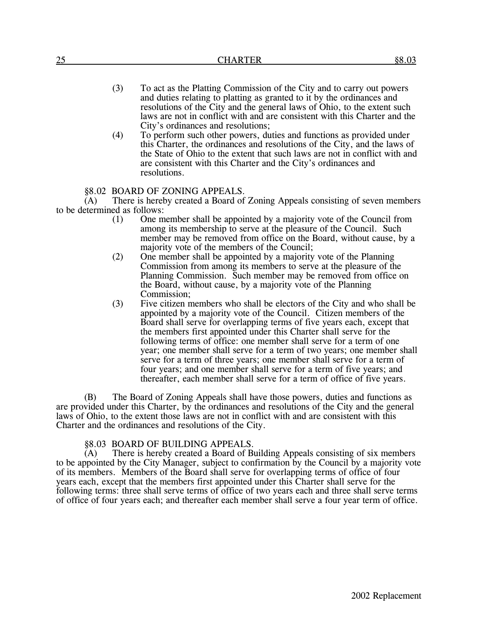- (3) To act as the Platting Commission of the City and to carry out powers and duties relating to platting as granted to it by the ordinances and resolutions of the City and the general laws of Ohio, to the extent such laws are not in conflict with and are consistent with this Charter and the City's ordinances and resolutions;
- (4) To perform such other powers, duties and functions as provided under this Charter, the ordinances and resolutions of the City, and the laws of the State of Ohio to the extent that such laws are not in conflict with and are consistent with this Charter and the City's ordinances and resolutions.

#### §8.02 BOARD OF ZONING APPEALS.

(A) There is hereby created a Board of Zoning Appeals consisting of seven members to be determined as follows:

- (1) One member shall be appointed by a majority vote of the Council from among its membership to serve at the pleasure of the Council. Such member may be removed from office on the Board, without cause, by a majority vote of the members of the Council;
- (2) One member shall be appointed by a majority vote of the Planning Commission from among its members to serve at the pleasure of the Planning Commission. Such member may be removed from office on the Board, without cause, by a majority vote of the Planning Commission;
- (3) Five citizen members who shall be electors of the City and who shall be appointed by a majority vote of the Council. Citizen members of the Board shall serve for overlapping terms of five years each, except that the members first appointed under this Charter shall serve for the following terms of office: one member shall serve for a term of one year; one member shall serve for a term of two years; one member shall serve for a term of three years; one member shall serve for a term of four years; and one member shall serve for a term of five years; and thereafter, each member shall serve for a term of office of five years.

(B) The Board of Zoning Appeals shall have those powers, duties and functions as are provided under this Charter, by the ordinances and resolutions of the City and the general laws of Ohio, to the extent those laws are not in conflict with and are consistent with this Charter and the ordinances and resolutions of the City.

## §8.03 BOARD OF BUILDING APPEALS.

(A) There is hereby created a Board of Building Appeals consisting of six members to be appointed by the City Manager, subject to confirmation by the Council by a majority vote of its members. Members of the Board shall serve for overlapping terms of office of four years each, except that the members first appointed under this Charter shall serve for the following terms: three shall serve terms of office of two years each and three shall serve terms of office of four years each; and thereafter each member shall serve a four year term of office.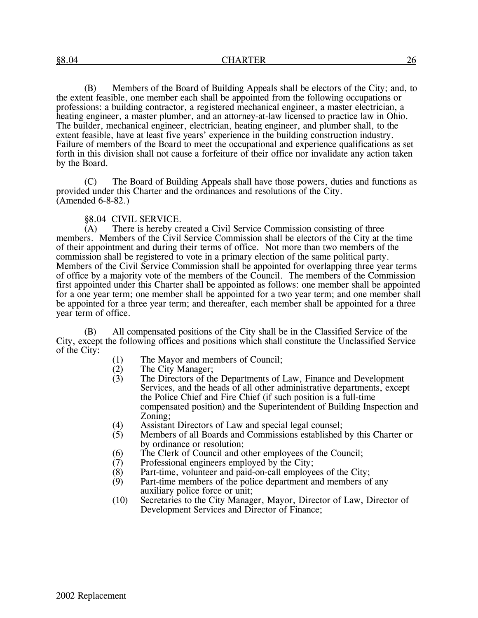(B) Members of the Board of Building Appeals shall be electors of the City; and, to the extent feasible, one member each shall be appointed from the following occupations or professions: a building contractor, a registered mechanical engineer, a master electrician, a heating engineer, a master plumber, and an attorney-at-law licensed to practice law in Ohio. The builder, mechanical engineer, electrician, heating engineer, and plumber shall, to the extent feasible, have at least five years' experience in the building construction industry. Failure of members of the Board to meet the occupational and experience qualifications as set forth in this division shall not cause a forfeiture of their office nor invalidate any action taken by the Board.

(C) The Board of Building Appeals shall have those powers, duties and functions as provided under this Charter and the ordinances and resolutions of the City. (Amended 6-8-82.)

#### §8.04 CIVIL SERVICE.

(A) There is hereby created a Civil Service Commission consisting of three members. Members of the Civil Service Commission shall be electors of the City at the time of their appointment and during their terms of office. Not more than two members of the commission shall be registered to vote in a primary election of the same political party. Members of the Civil Service Commission shall be appointed for overlapping three year terms of office by a majority vote of the members of the Council. The members of the Commission first appointed under this Charter shall be appointed as follows: one member shall be appointed for a one year term; one member shall be appointed for a two year term; and one member shall be appointed for a three year term; and thereafter, each member shall be appointed for a three year term of office.

(B) All compensated positions of the City shall be in the Classified Service of the City, except the following offices and positions which shall constitute the Unclassified Service of the City:

- (1) The Mayor and members of Council;<br>(2) The City Manager;
- (2) The City Manager;<br>(3) The Directors of the
- The Directors of the Departments of Law, Finance and Development Services, and the heads of all other administrative departments, except the Police Chief and Fire Chief (if such position is a full-time compensated position) and the Superintendent of Building Inspection and Zoning;
- (4) Assistant Directors of Law and special legal counsel;
- (5) Members of all Boards and Commissions established by this Charter or by ordinance or resolution;
- (6) The Clerk of Council and other employees of the Council;
- (7) Professional engineers employed by the City;<br>(8) Part-time, volunteer and paid-on-call employe
- (8) Part-time, volunteer and paid-on-call employees of the City;<br>(9) Part-time members of the police department and members of
- Part-time members of the police department and members of any auxiliary police force or unit;
- (10) Secretaries to the City Manager, Mayor, Director of Law, Director of Development Services and Director of Finance;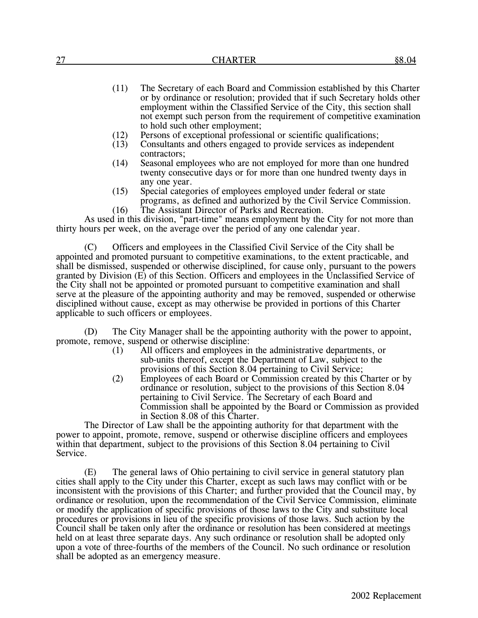- (11) The Secretary of each Board and Commission established by this Charter or by ordinance or resolution; provided that if such Secretary holds other employment within the Classified Service of the City, this section shall not exempt such person from the requirement of competitive examination to hold such other employment;
- (12) Persons of exceptional professional or scientific qualifications;
- (13) Consultants and others engaged to provide services as independent contractors;
- (14) Seasonal employees who are not employed for more than one hundred twenty consecutive days or for more than one hundred twenty days in any one year.
- (15) Special categories of employees employed under federal or state programs, as defined and authorized by the Civil Service Commission. (16) The Assistant Director of Parks and Recreation.

As used in this division, "part-time" means employment by the City for not more than thirty hours per week, on the average over the period of any one calendar year.

(C) Officers and employees in the Classified Civil Service of the City shall be appointed and promoted pursuant to competitive examinations, to the extent practicable, and shall be dismissed, suspended or otherwise disciplined, for cause only, pursuant to the powers granted by Division (E) of this Section. Officers and employees in the Unclassified Service of the City shall not be appointed or promoted pursuant to competitive examination and shall serve at the pleasure of the appointing authority and may be removed, suspended or otherwise disciplined without cause, except as may otherwise be provided in portions of this Charter applicable to such officers or employees.

(D) The City Manager shall be the appointing authority with the power to appoint, promote, remove, suspend or otherwise discipline:

- (1) All officers and employees in the administrative departments, or sub-units thereof, except the Department of Law, subject to the provisions of this Section 8.04 pertaining to Civil Service;
- (2) Employees of each Board or Commission created by this Charter or by ordinance or resolution, subject to the provisions of this Section 8.04 pertaining to Civil Service. The Secretary of each Board and Commission shall be appointed by the Board or Commission as provided in Section 8.08 of this Charter.

The Director of Law shall be the appointing authority for that department with the power to appoint, promote, remove, suspend or otherwise discipline officers and employees within that department, subject to the provisions of this Section 8.04 pertaining to Civil Service.

(E) The general laws of Ohio pertaining to civil service in general statutory plan cities shall apply to the City under this Charter, except as such laws may conflict with or be inconsistent with the provisions of this Charter; and further provided that the Council may, by ordinance or resolution, upon the recommendation of the Civil Service Commission, eliminate or modify the application of specific provisions of those laws to the City and substitute local procedures or provisions in lieu of the specific provisions of those laws. Such action by the Council shall be taken only after the ordinance or resolution has been considered at meetings held on at least three separate days. Any such ordinance or resolution shall be adopted only upon a vote of three-fourths of the members of the Council. No such ordinance or resolution shall be adopted as an emergency measure.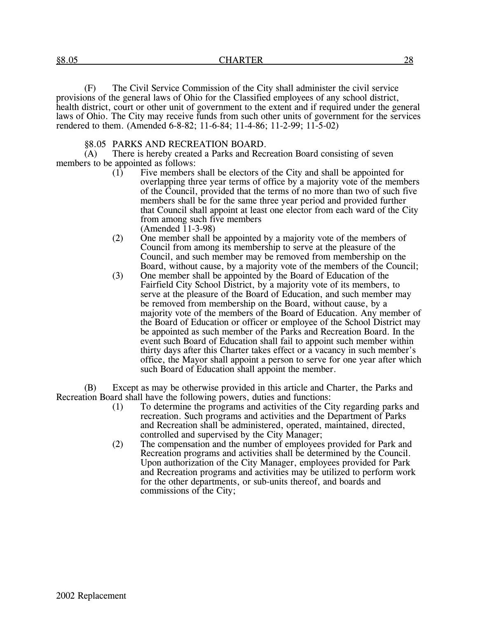(F) The Civil Service Commission of the City shall administer the civil service provisions of the general laws of Ohio for the Classified employees of any school district, health district, court or other unit of government to the extent and if required under the general laws of Ohio. The City may receive funds from such other units of government for the services rendered to them. (Amended 6-8-82; 11-6-84; 11-4-86; 11-2-99; 11-5-02)

§8.05 PARKS AND RECREATION BOARD.

(A) There is hereby created a Parks and Recreation Board consisting of seven members to be appointed as follows:

- (1) Five members shall be electors of the City and shall be appointed for overlapping three year terms of office by a majority vote of the members of the Council, provided that the terms of no more than two of such five members shall be for the same three year period and provided further that Council shall appoint at least one elector from each ward of the City from among such five members (Amended 11-3-98)
- (2) One member shall be appointed by a majority vote of the members of Council from among its membership to serve at the pleasure of the Council, and such member may be removed from membership on the Board, without cause, by a majority vote of the members of the Council;
- (3) One member shall be appointed by the Board of Education of the Fairfield City School District, by a majority vote of its members, to serve at the pleasure of the Board of Education, and such member may be removed from membership on the Board, without cause, by a majority vote of the members of the Board of Education. Any member of the Board of Education or officer or employee of the School District may be appointed as such member of the Parks and Recreation Board. In the event such Board of Education shall fail to appoint such member within thirty days after this Charter takes effect or a vacancy in such member's office, the Mayor shall appoint a person to serve for one year after which such Board of Education shall appoint the member.

(B) Except as may be otherwise provided in this article and Charter, the Parks and Recreation Board shall have the following powers, duties and functions:

- (1) To determine the programs and activities of the City regarding parks and recreation. Such programs and activities and the Department of Parks and Recreation shall be administered, operated, maintained, directed, controlled and supervised by the City Manager;
- (2) The compensation and the number of employees provided for Park and Recreation programs and activities shall be determined by the Council. Upon authorization of the City Manager, employees provided for Park and Recreation programs and activities may be utilized to perform work for the other departments, or sub-units thereof, and boards and commissions of the City;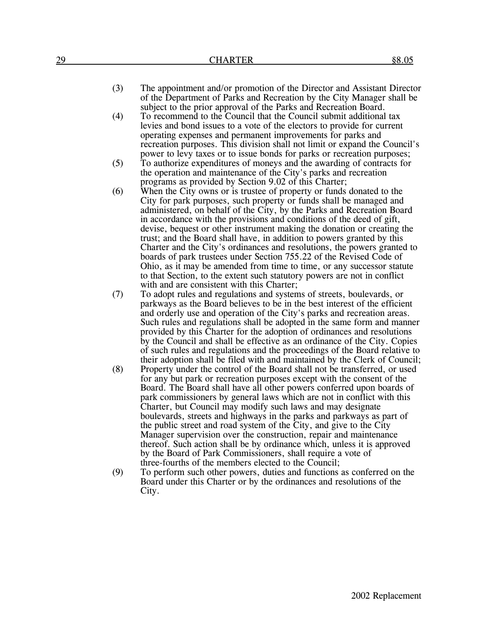- (3) The appointment and/or promotion of the Director and Assistant Director of the Department of Parks and Recreation by the City Manager shall be subject to the prior approval of the Parks and Recreation Board.
- (4) To recommend to the Council that the Council submit additional tax levies and bond issues to a vote of the electors to provide for current operating expenses and permanent improvements for parks and recreation purposes. This division shall not limit or expand the Council's power to levy taxes or to issue bonds for parks or recreation purposes;
- (5) To authorize expenditures of moneys and the awarding of contracts for the operation and maintenance of the City's parks and recreation programs as provided by Section 9.02 of this Charter;
- (6) When the City owns or is trustee of property or funds donated to the City for park purposes, such property or funds shall be managed and administered, on behalf of the City, by the Parks and Recreation Board in accordance with the provisions and conditions of the deed of gift, devise, bequest or other instrument making the donation or creating the trust; and the Board shall have, in addition to powers granted by this Charter and the City's ordinances and resolutions, the powers granted to boards of park trustees under Section 755.22 of the Revised Code of Ohio, as it may be amended from time to time, or any successor statute to that Section, to the extent such statutory powers are not in conflict with and are consistent with this Charter;
- (7) To adopt rules and regulations and systems of streets, boulevards, or parkways as the Board believes to be in the best interest of the efficient and orderly use and operation of the City's parks and recreation areas. Such rules and regulations shall be adopted in the same form and manner provided by this Charter for the adoption of ordinances and resolutions by the Council and shall be effective as an ordinance of the City. Copies of such rules and regulations and the proceedings of the Board relative to their adoption shall be filed with and maintained by the Clerk of Council;
- (8) Property under the control of the Board shall not be transferred, or used for any but park or recreation purposes except with the consent of the Board. The Board shall have all other powers conferred upon boards of park commissioners by general laws which are not in conflict with this Charter, but Council may modify such laws and may designate boulevards, streets and highways in the parks and parkways as part of the public street and road system of the City, and give to the City Manager supervision over the construction, repair and maintenance thereof. Such action shall be by ordinance which, unless it is approved by the Board of Park Commissioners, shall require a vote of three-fourths of the members elected to the Council;
- (9) To perform such other powers, duties and functions as conferred on the Board under this Charter or by the ordinances and resolutions of the City.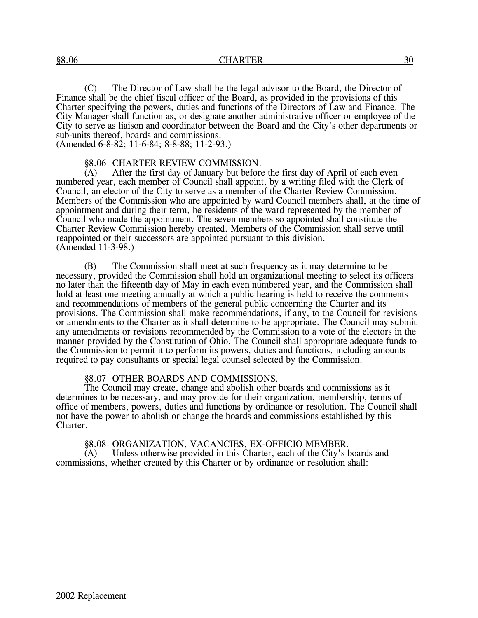(C) The Director of Law shall be the legal advisor to the Board, the Director of Finance shall be the chief fiscal officer of the Board, as provided in the provisions of this Charter specifying the powers, duties and functions of the Directors of Law and Finance. The City Manager shall function as, or designate another administrative officer or employee of the City to serve as liaison and coordinator between the Board and the City's other departments or sub-units thereof, boards and commissions.

(Amended 6-8-82; 11-6-84; 8-8-88; 11-2-93.)

#### §8.06 CHARTER REVIEW COMMISSION.

(A) After the first day of January but before the first day of April of each even numbered year, each member of Council shall appoint, by a writing filed with the Clerk of Council, an elector of the City to serve as a member of the Charter Review Commission. Members of the Commission who are appointed by ward Council members shall, at the time of appointment and during their term, be residents of the ward represented by the member of Council who made the appointment. The seven members so appointed shall constitute the Charter Review Commission hereby created. Members of the Commission shall serve until reappointed or their successors are appointed pursuant to this division. (Amended 11-3-98.)

(B) The Commission shall meet at such frequency as it may determine to be necessary, provided the Commission shall hold an organizational meeting to select its officers no later than the fifteenth day of May in each even numbered year, and the Commission shall hold at least one meeting annually at which a public hearing is held to receive the comments and recommendations of members of the general public concerning the Charter and its provisions. The Commission shall make recommendations, if any, to the Council for revisions or amendments to the Charter as it shall determine to be appropriate. The Council may submit any amendments or revisions recommended by the Commission to a vote of the electors in the manner provided by the Constitution of Ohio. The Council shall appropriate adequate funds to the Commission to permit it to perform its powers, duties and functions, including amounts required to pay consultants or special legal counsel selected by the Commission.

## §8.07 OTHER BOARDS AND COMMISSIONS.

The Council may create, change and abolish other boards and commissions as it determines to be necessary, and may provide for their organization, membership, terms of office of members, powers, duties and functions by ordinance or resolution. The Council shall not have the power to abolish or change the boards and commissions established by this Charter.

§8.08 ORGANIZATION, VACANCIES, EX-OFFICIO MEMBER.

(A) Unless otherwise provided in this Charter, each of the City's boards and commissions, whether created by this Charter or by ordinance or resolution shall: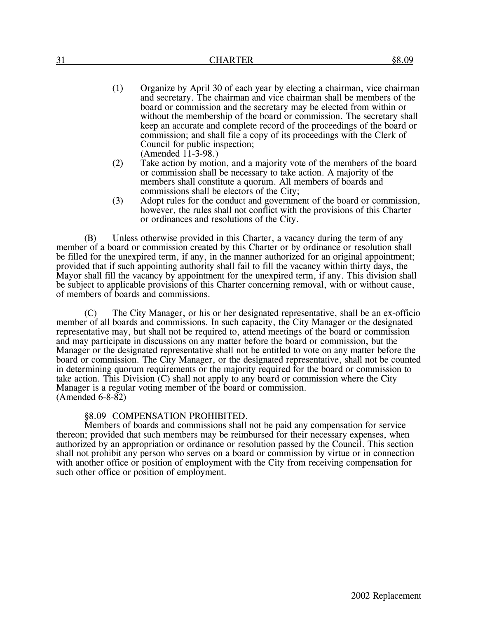(1) Organize by April 30 of each year by electing a chairman, vice chairman and secretary. The chairman and vice chairman shall be members of the board or commission and the secretary may be elected from within or without the membership of the board or commission. The secretary shall keep an accurate and complete record of the proceedings of the board or commission; and shall file a copy of its proceedings with the Clerk of Council for public inspection;

(Amended 11-3-98.)

- (2) Take action by motion, and a majority vote of the members of the board or commission shall be necessary to take action. A majority of the members shall constitute a quorum. All members of boards and commissions shall be electors of the City;
- (3) Adopt rules for the conduct and government of the board or commission, however, the rules shall not conflict with the provisions of this Charter or ordinances and resolutions of the City.

(B) Unless otherwise provided in this Charter, a vacancy during the term of any member of a board or commission created by this Charter or by ordinance or resolution shall be filled for the unexpired term, if any, in the manner authorized for an original appointment; provided that if such appointing authority shall fail to fill the vacancy within thirty days, the Mayor shall fill the vacancy by appointment for the unexpired term, if any. This division shall be subject to applicable provisions of this Charter concerning removal, with or without cause, of members of boards and commissions.

(C) The City Manager, or his or her designated representative, shall be an ex-officio member of all boards and commissions. In such capacity, the City Manager or the designated representative may, but shall not be required to, attend meetings of the board or commission and may participate in discussions on any matter before the board or commission, but the Manager or the designated representative shall not be entitled to vote on any matter before the board or commission. The City Manager, or the designated representative, shall not be counted in determining quorum requirements or the majority required for the board or commission to take action. This Division (C) shall not apply to any board or commission where the City Manager is a regular voting member of the board or commission. (Amended 6-8-82)

## §8.09 COMPENSATION PROHIBITED.

Members of boards and commissions shall not be paid any compensation for service thereon; provided that such members may be reimbursed for their necessary expenses, when authorized by an appropriation or ordinance or resolution passed by the Council. This section shall not prohibit any person who serves on a board or commission by virtue or in connection with another office or position of employment with the City from receiving compensation for such other office or position of employment.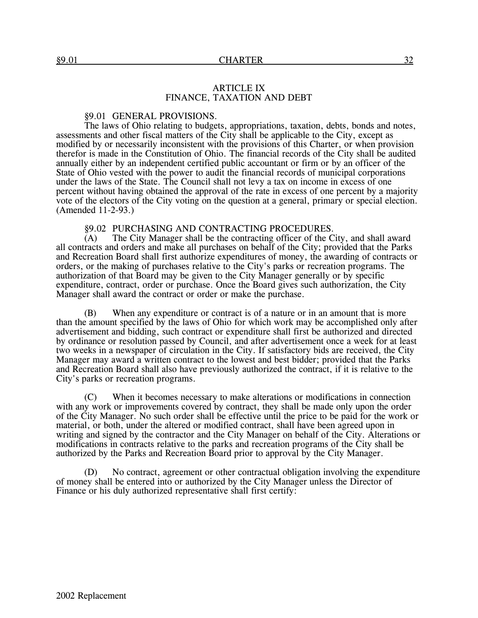### ARTICLE IX FINANCE, TAXATION AND DEBT

## §9.01 GENERAL PROVISIONS.

The laws of Ohio relating to budgets, appropriations, taxation, debts, bonds and notes, assessments and other fiscal matters of the City shall be applicable to the City, except as modified by or necessarily inconsistent with the provisions of this Charter, or when provision therefor is made in the Constitution of Ohio. The financial records of the City shall be audited annually either by an independent certified public accountant or firm or by an officer of the State of Ohio vested with the power to audit the financial records of municipal corporations under the laws of the State. The Council shall not levy a tax on income in excess of one percent without having obtained the approval of the rate in excess of one percent by a majority vote of the electors of the City voting on the question at a general, primary or special election. (Amended 11-2-93.)

### §9.02 PURCHASING AND CONTRACTING PROCEDURES.

(A) The City Manager shall be the contracting officer of the City, and shall award all contracts and orders and make all purchases on behalf of the City; provided that the Parks and Recreation Board shall first authorize expenditures of money, the awarding of contracts or orders, or the making of purchases relative to the City's parks or recreation programs. The authorization of that Board may be given to the City Manager generally or by specific expenditure, contract, order or purchase. Once the Board gives such authorization, the City Manager shall award the contract or order or make the purchase.

(B) When any expenditure or contract is of a nature or in an amount that is more than the amount specified by the laws of Ohio for which work may be accomplished only after advertisement and bidding, such contract or expenditure shall first be authorized and directed by ordinance or resolution passed by Council, and after advertisement once a week for at least two weeks in a newspaper of circulation in the City. If satisfactory bids are received, the City Manager may award a written contract to the lowest and best bidder; provided that the Parks and Recreation Board shall also have previously authorized the contract, if it is relative to the City's parks or recreation programs.

(C) When it becomes necessary to make alterations or modifications in connection with any work or improvements covered by contract, they shall be made only upon the order of the City Manager. No such order shall be effective until the price to be paid for the work or material, or both, under the altered or modified contract, shall have been agreed upon in writing and signed by the contractor and the City Manager on behalf of the City. Alterations or modifications in contracts relative to the parks and recreation programs of the City shall be authorized by the Parks and Recreation Board prior to approval by the City Manager.

(D) No contract, agreement or other contractual obligation involving the expenditure of money shall be entered into or authorized by the City Manager unless the Director of Finance or his duly authorized representative shall first certify: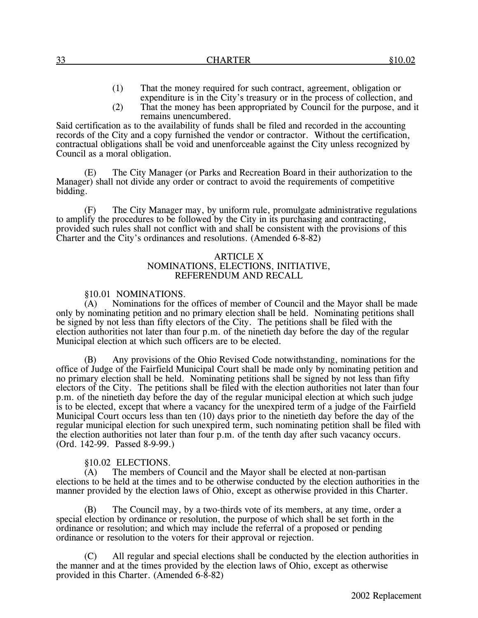- (1) That the money required for such contract, agreement, obligation or expenditure is in the City's treasury or in the process of collection, and
- (2) That the money has been appropriated by Council for the purpose, and it remains unencumbered.

Said certification as to the availability of funds shall be filed and recorded in the accounting records of the City and a copy furnished the vendor or contractor. Without the certification, contractual obligations shall be void and unenforceable against the City unless recognized by Council as a moral obligation.

(E) The City Manager (or Parks and Recreation Board in their authorization to the Manager) shall not divide any order or contract to avoid the requirements of competitive bidding.

(F) The City Manager may, by uniform rule, promulgate administrative regulations to amplify the procedures to be followed by the City in its purchasing and contracting, provided such rules shall not conflict with and shall be consistent with the provisions of this Charter and the City's ordinances and resolutions. (Amended 6-8-82)

#### ARTICLE X NOMINATIONS, ELECTIONS, INITIATIVE, REFERENDUM AND RECALL

#### §10.01 NOMINATIONS.

(A) Nominations for the offices of member of Council and the Mayor shall be made only by nominating petition and no primary election shall be held. Nominating petitions shall be signed by not less than fifty electors of the City. The petitions shall be filed with the election authorities not later than four p.m. of the ninetieth day before the day of the regular Municipal election at which such officers are to be elected.

(B) Any provisions of the Ohio Revised Code notwithstanding, nominations for the office of Judge of the Fairfield Municipal Court shall be made only by nominating petition and no primary election shall be held. Nominating petitions shall be signed by not less than fifty electors of the City. The petitions shall be filed with the election authorities not later than four p.m. of the ninetieth day before the day of the regular municipal election at which such judge is to be elected, except that where a vacancy for the unexpired term of a judge of the Fairfield Municipal Court occurs less than ten (10) days prior to the ninetieth day before the day of the regular municipal election for such unexpired term, such nominating petition shall be filed with the election authorities not later than four p.m. of the tenth day after such vacancy occurs. (Ord. 142-99. Passed 8-9-99.)

### §10.02 ELECTIONS.

(A) The members of Council and the Mayor shall be elected at non-partisan elections to be held at the times and to be otherwise conducted by the election authorities in the manner provided by the election laws of Ohio, except as otherwise provided in this Charter.

(B) The Council may, by a two-thirds vote of its members, at any time, order a special election by ordinance or resolution, the purpose of which shall be set forth in the ordinance or resolution; and which may include the referral of a proposed or pending ordinance or resolution to the voters for their approval or rejection.

(C) All regular and special elections shall be conducted by the election authorities in the manner and at the times provided by the election laws of Ohio, except as otherwise provided in this Charter. (Amended 6-8-82)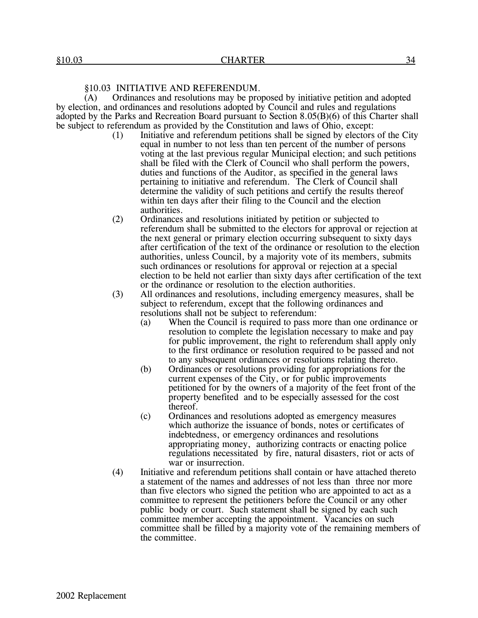## §10.03 INITIATIVE AND REFERENDUM.

(A) Ordinances and resolutions may be proposed by initiative petition and adopted by election, and ordinances and resolutions adopted by Council and rules and regulations adopted by the Parks and Recreation Board pursuant to Section 8.05(B)(6) of this Charter shall be subject to referendum as provided by the Constitution and laws of Ohio, except:

- (1) Initiative and referendum petitions shall be signed by electors of the City equal in number to not less than ten percent of the number of persons voting at the last previous regular Municipal election; and such petitions shall be filed with the Clerk of Council who shall perform the powers, duties and functions of the Auditor, as specified in the general laws pertaining to initiative and referendum. The Clerk of Council shall determine the validity of such petitions and certify the results thereof within ten days after their filing to the Council and the election authorities.
- (2) Ordinances and resolutions initiated by petition or subjected to referendum shall be submitted to the electors for approval or rejection at the next general or primary election occurring subsequent to sixty days after certification of the text of the ordinance or resolution to the election authorities, unless Council, by a majority vote of its members, submits such ordinances or resolutions for approval or rejection at a special election to be held not earlier than sixty days after certification of the text or the ordinance or resolution to the election authorities.
- (3) All ordinances and resolutions, including emergency measures, shall be subject to referendum, except that the following ordinances and resolutions shall not be subject to referendum:
	- (a) When the Council is required to pass more than one ordinance or resolution to complete the legislation necessary to make and pay for public improvement, the right to referendum shall apply only to the first ordinance or resolution required to be passed and not to any subsequent ordinances or resolutions relating thereto.
	- (b) Ordinances or resolutions providing for appropriations for the current expenses of the City, or for public improvements petitioned for by the owners of a majority of the feet front of the property benefited and to be especially assessed for the cost thereof.
	- (c) Ordinances and resolutions adopted as emergency measures which authorize the issuance of bonds, notes or certificates of indebtedness, or emergency ordinances and resolutions appropriating money, authorizing contracts or enacting police regulations necessitated by fire, natural disasters, riot or acts of war or insurrection.
- (4) Initiative and referendum petitions shall contain or have attached thereto a statement of the names and addresses of not less than three nor more than five electors who signed the petition who are appointed to act as a committee to represent the petitioners before the Council or any other public body or court. Such statement shall be signed by each such committee member accepting the appointment. Vacancies on such committee shall be filled by a majority vote of the remaining members of the committee.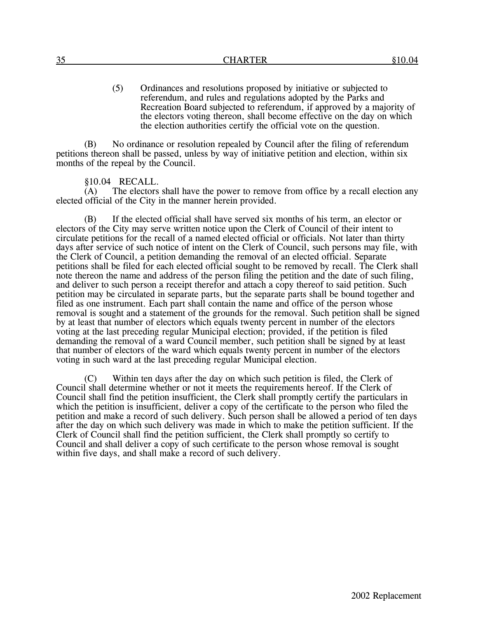(5) Ordinances and resolutions proposed by initiative or subjected to referendum, and rules and regulations adopted by the Parks and Recreation Board subjected to referendum, if approved by a majority of the electors voting thereon, shall become effective on the day on which the election authorities certify the official vote on the question.

(B) No ordinance or resolution repealed by Council after the filing of referendum petitions thereon shall be passed, unless by way of initiative petition and election, within six months of the repeal by the Council.

§10.04 RECALL.

(A) The electors shall have the power to remove from office by a recall election any elected official of the City in the manner herein provided.

(B) If the elected official shall have served six months of his term, an elector or electors of the City may serve written notice upon the Clerk of Council of their intent to circulate petitions for the recall of a named elected official or officials. Not later than thirty days after service of such notice of intent on the Clerk of Council, such persons may file, with the Clerk of Council, a petition demanding the removal of an elected official. Separate petitions shall be filed for each elected official sought to be removed by recall. The Clerk shall note thereon the name and address of the person filing the petition and the date of such filing, and deliver to such person a receipt therefor and attach a copy thereof to said petition. Such petition may be circulated in separate parts, but the separate parts shall be bound together and filed as one instrument. Each part shall contain the name and office of the person whose removal is sought and a statement of the grounds for the removal. Such petition shall be signed by at least that number of electors which equals twenty percent in number of the electors voting at the last preceding regular Municipal election; provided, if the petition is filed demanding the removal of a ward Council member, such petition shall be signed by at least that number of electors of the ward which equals twenty percent in number of the electors voting in such ward at the last preceding regular Municipal election.

(C) Within ten days after the day on which such petition is filed, the Clerk of Council shall determine whether or not it meets the requirements hereof. If the Clerk of Council shall find the petition insufficient, the Clerk shall promptly certify the particulars in which the petition is insufficient, deliver a copy of the certificate to the person who filed the petition and make a record of such delivery. Such person shall be allowed a period of ten days after the day on which such delivery was made in which to make the petition sufficient. If the Clerk of Council shall find the petition sufficient, the Clerk shall promptly so certify to Council and shall deliver a copy of such certificate to the person whose removal is sought within five days, and shall make a record of such delivery.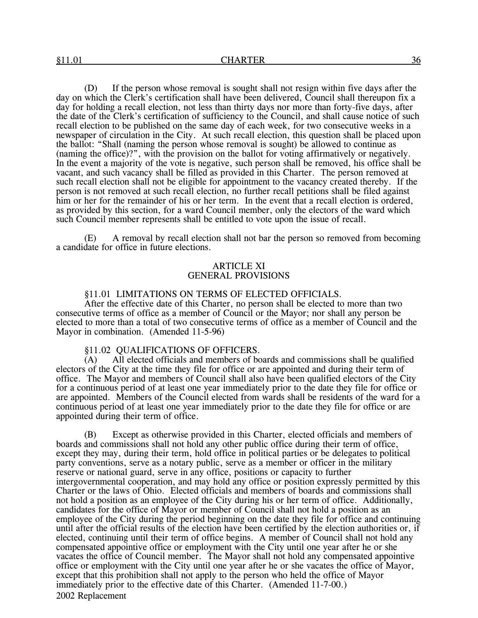(D) If the person whose removal is sought shall not resign within five days after the day on which the Clerk's certification shall have been delivered, Council shall thereupon fix a day for holding a recall election, not less than thirty days nor more than forty-five days, after the date of the Clerk's certification of sufficiency to the Council, and shall cause notice of such recall election to be published on the same day of each week, for two consecutive weeks in a newspaper of circulation in the City. At such recall election, this question shall be placed upon the ballot: "Shall (naming the person whose removal is sought) be allowed to continue as (naming the office)?", with the provision on the ballot for voting affirmatively or negatively. In the event a majority of the vote is negative, such person shall be removed, his office shall be vacant, and such vacancy shall be filled as provided in this Charter. The person removed at such recall election shall not be eligible for appointment to the vacancy created thereby. If the person is not removed at such recall election, no further recall petitions shall be filed against him or her for the remainder of his or her term. In the event that a recall election is ordered, as provided by this section, for a ward Council member, only the electors of the ward which such Council member represents shall be entitled to vote upon the issue of recall.

(E) A removal by recall election shall not bar the person so removed from becoming a candidate for office in future elections.

#### ARTICLE XI GENERAL PROVISIONS

#### §11.01 LIMITATIONS ON TERMS OF ELECTED OFFICIALS.

After the effective date of this Charter, no person shall be elected to more than two consecutive terms of office as a member of Council or the Mayor; nor shall any person be elected to more than a total of two consecutive terms of office as a member of Council and the Mayor in combination. (Amended 11-5-96)

## §11.02 QUALIFICATIONS OF OFFICERS.<br>(A) All elected officials and members of bo

(A) All elected officials and members of boards and commissions shall be qualified electors of the City at the time they file for office or are appointed and during their term of office. The Mayor and members of Council shall also have been qualified electors of the City for a continuous period of at least one year immediately prior to the date they file for office or are appointed. Members of the Council elected from wards shall be residents of the ward for a continuous period of at least one year immediately prior to the date they file for office or are appointed during their term of office.

2002 Replacement (B) Except as otherwise provided in this Charter, elected officials and members of boards and commissions shall not hold any other public office during their term of office, except they may, during their term, hold office in political parties or be delegates to political party conventions, serve as a notary public, serve as a member or officer in the military reserve or national guard, serve in any office, positions or capacity to further intergovernmental cooperation, and may hold any office or position expressly permitted by this Charter or the laws of Ohio. Elected officials and members of boards and commissions shall not hold a position as an employee of the City during his or her term of office. Additionally, candidates for the office of Mayor or member of Council shall not hold a position as an employee of the City during the period beginning on the date they file for office and continuing until after the official results of the election have been certified by the election authorities or, if elected, continuing until their term of office begins. A member of Council shall not hold any compensated appointive office or employment with the City until one year after he or she vacates the office of Council member. The Mayor shall not hold any compensated appointive office or employment with the City until one year after he or she vacates the office of Mayor, except that this prohibition shall not apply to the person who held the office of Mayor immediately prior to the effective date of this Charter. (Amended 11-7-00.)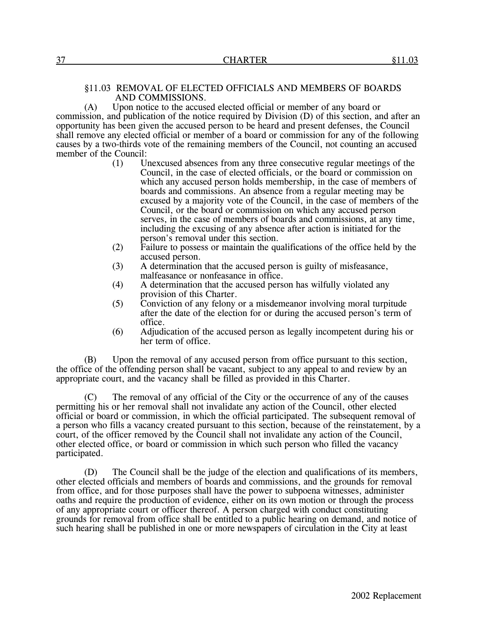#### §11.03 REMOVAL OF ELECTED OFFICIALS AND MEMBERS OF BOARDS AND COMMISSIONS.

(A) Upon notice to the accused elected official or member of any board or commission, and publication of the notice required by Division (D) of this section, and after an opportunity has been given the accused person to be heard and present defenses, the Council shall remove any elected official or member of a board or commission for any of the following causes by a two-thirds vote of the remaining members of the Council, not counting an accused member of the Council:

- (1) Unexcused absences from any three consecutive regular meetings of the Council, in the case of elected officials, or the board or commission on which any accused person holds membership, in the case of members of boards and commissions. An absence from a regular meeting may be excused by a majority vote of the Council, in the case of members of the Council, or the board or commission on which any accused person serves, in the case of members of boards and commissions, at any time, including the excusing of any absence after action is initiated for the person's removal under this section.
- (2) Failure to possess or maintain the qualifications of the office held by the accused person.
- (3) A determination that the accused person is guilty of misfeasance, malfeasance or nonfeasance in office.
- (4) A determination that the accused person has wilfully violated any provision of this Charter.
- (5) Conviction of any felony or a misdemeanor involving moral turpitude after the date of the election for or during the accused person's term of office.
- (6) Adjudication of the accused person as legally incompetent during his or her term of office.

(B) Upon the removal of any accused person from office pursuant to this section, the office of the offending person shall be vacant, subject to any appeal to and review by an appropriate court, and the vacancy shall be filled as provided in this Charter.

(C) The removal of any official of the City or the occurrence of any of the causes permitting his or her removal shall not invalidate any action of the Council, other elected official or board or commission, in which the official participated. The subsequent removal of a person who fills a vacancy created pursuant to this section, because of the reinstatement, by a court, of the officer removed by the Council shall not invalidate any action of the Council, other elected office, or board or commission in which such person who filled the vacancy participated.

(D) The Council shall be the judge of the election and qualifications of its members, other elected officials and members of boards and commissions, and the grounds for removal from office, and for those purposes shall have the power to subpoena witnesses, administer oaths and require the production of evidence, either on its own motion or through the process of any appropriate court or officer thereof. A person charged with conduct constituting grounds for removal from office shall be entitled to a public hearing on demand, and notice of such hearing shall be published in one or more newspapers of circulation in the City at least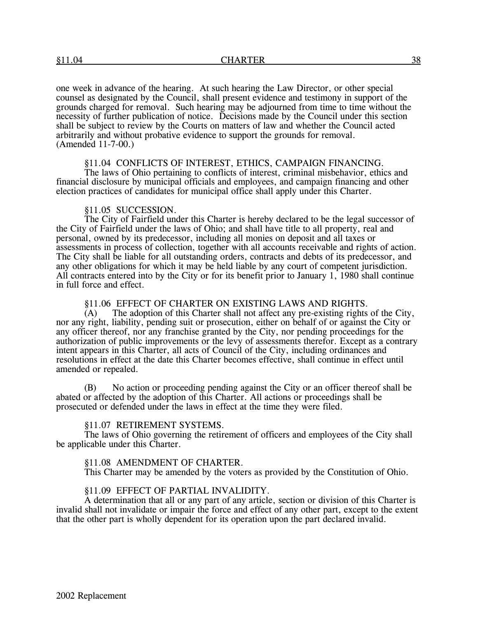one week in advance of the hearing. At such hearing the Law Director, or other special counsel as designated by the Council, shall present evidence and testimony in support of the grounds charged for removal. Such hearing may be adjourned from time to time without the necessity of further publication of notice. Decisions made by the Council under this section shall be subject to review by the Courts on matters of law and whether the Council acted arbitrarily and without probative evidence to support the grounds for removal. (Amended 11-7-00.)

## §11.04 CONFLICTS OF INTEREST, ETHICS, CAMPAIGN FINANCING.

The laws of Ohio pertaining to conflicts of interest, criminal misbehavior, ethics and financial disclosure by municipal officials and employees, and campaign financing and other election practices of candidates for municipal office shall apply under this Charter.

## §11.05 SUCCESSION.

The City of Fairfield under this Charter is hereby declared to be the legal successor of the City of Fairfield under the laws of Ohio; and shall have title to all property, real and personal, owned by its predecessor, including all monies on deposit and all taxes or assessments in process of collection, together with all accounts receivable and rights of action. The City shall be liable for all outstanding orders, contracts and debts of its predecessor, and any other obligations for which it may be held liable by any court of competent jurisdiction. All contracts entered into by the City or for its benefit prior to January 1, 1980 shall continue in full force and effect.

## §11.06 EFFECT OF CHARTER ON EXISTING LAWS AND RIGHTS.<br>(A) The adoption of this Charter shall not affect any pre-existing rights

The adoption of this Charter shall not affect any pre-existing rights of the City, nor any right, liability, pending suit or prosecution, either on behalf of or against the City or any officer thereof, nor any franchise granted by the City, nor pending proceedings for the authorization of public improvements or the levy of assessments therefor. Except as a contrary intent appears in this Charter, all acts of Council of the City, including ordinances and resolutions in effect at the date this Charter becomes effective, shall continue in effect until amended or repealed.

(B) No action or proceeding pending against the City or an officer thereof shall be abated or affected by the adoption of this Charter. All actions or proceedings shall be prosecuted or defended under the laws in effect at the time they were filed.

#### §11.07 RETIREMENT SYSTEMS.

The laws of Ohio governing the retirement of officers and employees of the City shall be applicable under this Charter.

#### §11.08 AMENDMENT OF CHARTER.

This Charter may be amended by the voters as provided by the Constitution of Ohio.

## §11.09 EFFECT OF PARTIAL INVALIDITY.

A determination that all or any part of any article, section or division of this Charter is invalid shall not invalidate or impair the force and effect of any other part, except to the extent that the other part is wholly dependent for its operation upon the part declared invalid.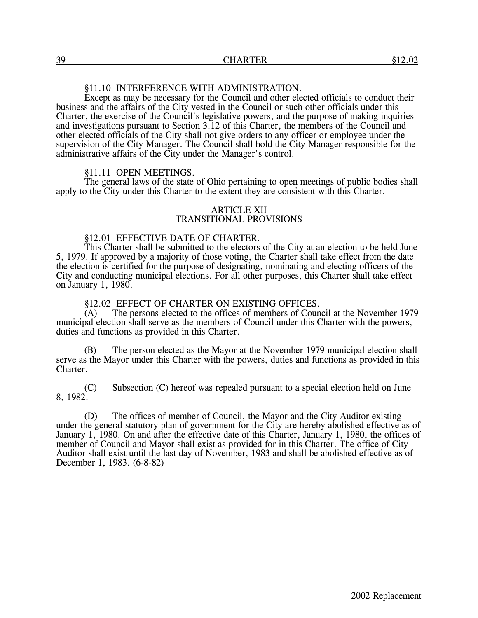## §11.10 INTERFERENCE WITH ADMINISTRATION.

Except as may be necessary for the Council and other elected officials to conduct their business and the affairs of the City vested in the Council or such other officials under this Charter, the exercise of the Council's legislative powers, and the purpose of making inquiries and investigations pursuant to Section 3.12 of this Charter, the members of the Council and other elected officials of the City shall not give orders to any officer or employee under the supervision of the City Manager. The Council shall hold the City Manager responsible for the administrative affairs of the City under the Manager's control.

#### §11.11 OPEN MEETINGS.

The general laws of the state of Ohio pertaining to open meetings of public bodies shall apply to the City under this Charter to the extent they are consistent with this Charter.

#### ARTICLE XII TRANSITIONAL PROVISIONS

#### §12.01 EFFECTIVE DATE OF CHARTER.

This Charter shall be submitted to the electors of the City at an election to be held June 5, 1979. If approved by a majority of those voting, the Charter shall take effect from the date the election is certified for the purpose of designating, nominating and electing officers of the City and conducting municipal elections. For all other purposes, this Charter shall take effect on January 1, 1980.

#### §12.02 EFFECT OF CHARTER ON EXISTING OFFICES.

(A) The persons elected to the offices of members of Council at the November 1979 municipal election shall serve as the members of Council under this Charter with the powers, duties and functions as provided in this Charter.

(B) The person elected as the Mayor at the November 1979 municipal election shall serve as the Mayor under this Charter with the powers, duties and functions as provided in this Charter.

(C) Subsection (C) hereof was repealed pursuant to a special election held on June 8, 1982.

(D) The offices of member of Council, the Mayor and the City Auditor existing under the general statutory plan of government for the City are hereby abolished effective as of January 1, 1980. On and after the effective date of this Charter, January 1, 1980, the offices of member of Council and Mayor shall exist as provided for in this Charter. The office of City Auditor shall exist until the last day of November, 1983 and shall be abolished effective as of December 1, 1983. (6-8-82)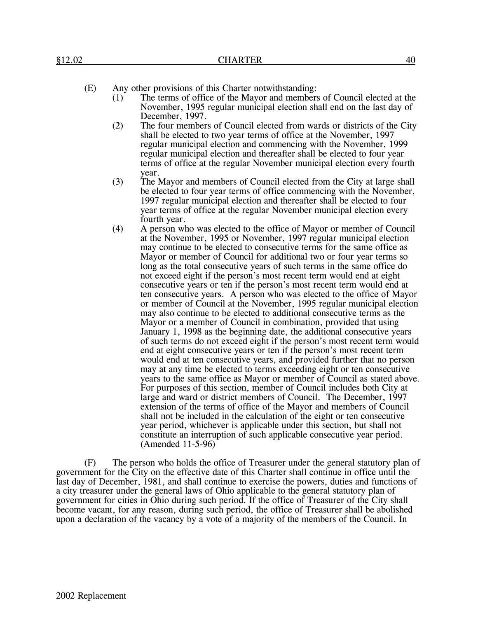(E) Any other provisions of this Charter notwithstanding:

- (1) The terms of office of the Mayor and members of Council elected at the November, 1995 regular municipal election shall end on the last day of December, 1997.
- (2) The four members of Council elected from wards or districts of the City shall be elected to two year terms of office at the November, 1997 regular municipal election and commencing with the November, 1999 regular municipal election and thereafter shall be elected to four year terms of office at the regular November municipal election every fourth year.
- (3) The Mayor and members of Council elected from the City at large shall be elected to four year terms of office commencing with the November, 1997 regular municipal election and thereafter shall be elected to four year terms of office at the regular November municipal election every fourth year.
- (4) A person who was elected to the office of Mayor or member of Council at the November, 1995 or November, 1997 regular municipal election may continue to be elected to consecutive terms for the same office as Mayor or member of Council for additional two or four year terms so long as the total consecutive years of such terms in the same office do not exceed eight if the person's most recent term would end at eight consecutive years or ten if the person's most recent term would end at ten consecutive years. A person who was elected to the office of Mayor or member of Council at the November, 1995 regular municipal election may also continue to be elected to additional consecutive terms as the Mayor or a member of Council in combination, provided that using January 1, 1998 as the beginning date, the additional consecutive years of such terms do not exceed eight if the person's most recent term would end at eight consecutive years or ten if the person's most recent term would end at ten consecutive years, and provided further that no person may at any time be elected to terms exceeding eight or ten consecutive years to the same office as Mayor or member of Council as stated above. For purposes of this section, member of Council includes both City at large and ward or district members of Council. The December, 1997 extension of the terms of office of the Mayor and members of Council shall not be included in the calculation of the eight or ten consecutive year period, whichever is applicable under this section, but shall not constitute an interruption of such applicable consecutive year period. (Amended 11-5-96)

(F) The person who holds the office of Treasurer under the general statutory plan of government for the City on the effective date of this Charter shall continue in office until the last day of December, 1981, and shall continue to exercise the powers, duties and functions of a city treasurer under the general laws of Ohio applicable to the general statutory plan of government for cities in Ohio during such period. If the office of Treasurer of the City shall become vacant, for any reason, during such period, the office of Treasurer shall be abolished upon a declaration of the vacancy by a vote of a majority of the members of the Council. In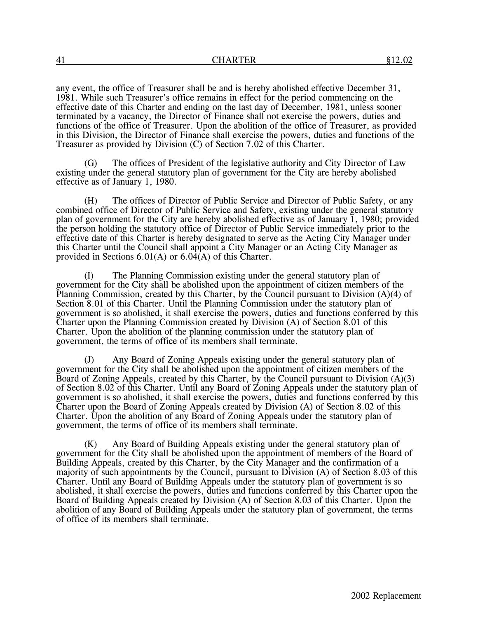any event, the office of Treasurer shall be and is hereby abolished effective December 31, 1981. While such Treasurer's office remains in effect for the period commencing on the effective date of this Charter and ending on the last day of December, 1981, unless sooner terminated by a vacancy, the Director of Finance shall not exercise the powers, duties and functions of the office of Treasurer. Upon the abolition of the office of Treasurer, as provided in this Division, the Director of Finance shall exercise the powers, duties and functions of the Treasurer as provided by Division (C) of Section 7.02 of this Charter.

(G) The offices of President of the legislative authority and City Director of Law existing under the general statutory plan of government for the City are hereby abolished effective as of January 1, 1980.

(H) The offices of Director of Public Service and Director of Public Safety, or any combined office of Director of Public Service and Safety, existing under the general statutory plan of government for the City are hereby abolished effective as of January 1, 1980; provided the person holding the statutory office of Director of Public Service immediately prior to the effective date of this Charter is hereby designated to serve as the Acting City Manager under this Charter until the Council shall appoint a City Manager or an Acting City Manager as provided in Sections  $6.01(A)$  or  $6.04(A)$  of this Charter.

(I) The Planning Commission existing under the general statutory plan of government for the City shall be abolished upon the appointment of citizen members of the Planning Commission, created by this Charter, by the Council pursuant to Division (A)(4) of Section 8.01 of this Charter. Until the Planning Commission under the statutory plan of government is so abolished, it shall exercise the powers, duties and functions conferred by this Charter upon the Planning Commission created by Division (A) of Section 8.01 of this Charter. Upon the abolition of the planning commission under the statutory plan of government, the terms of office of its members shall terminate.

(J) Any Board of Zoning Appeals existing under the general statutory plan of government for the City shall be abolished upon the appointment of citizen members of the Board of Zoning Appeals, created by this Charter, by the Council pursuant to Division  $(A)(3)$ of Section 8.02 of this Charter. Until any Board of Zoning Appeals under the statutory plan of government is so abolished, it shall exercise the powers, duties and functions conferred by this Charter upon the Board of Zoning Appeals created by Division (A) of Section 8.02 of this Charter. Upon the abolition of any Board of Zoning Appeals under the statutory plan of government, the terms of office of its members shall terminate.

(K) Any Board of Building Appeals existing under the general statutory plan of government for the City shall be abolished upon the appointment of members of the Board of Building Appeals, created by this Charter, by the City Manager and the confirmation of a majority of such appointments by the Council, pursuant to Division (A) of Section 8.03 of this Charter. Until any Board of Building Appeals under the statutory plan of government is so abolished, it shall exercise the powers, duties and functions conferred by this Charter upon the Board of Building Appeals created by Division (A) of Section 8.03 of this Charter. Upon the abolition of any Board of Building Appeals under the statutory plan of government, the terms of office of its members shall terminate.